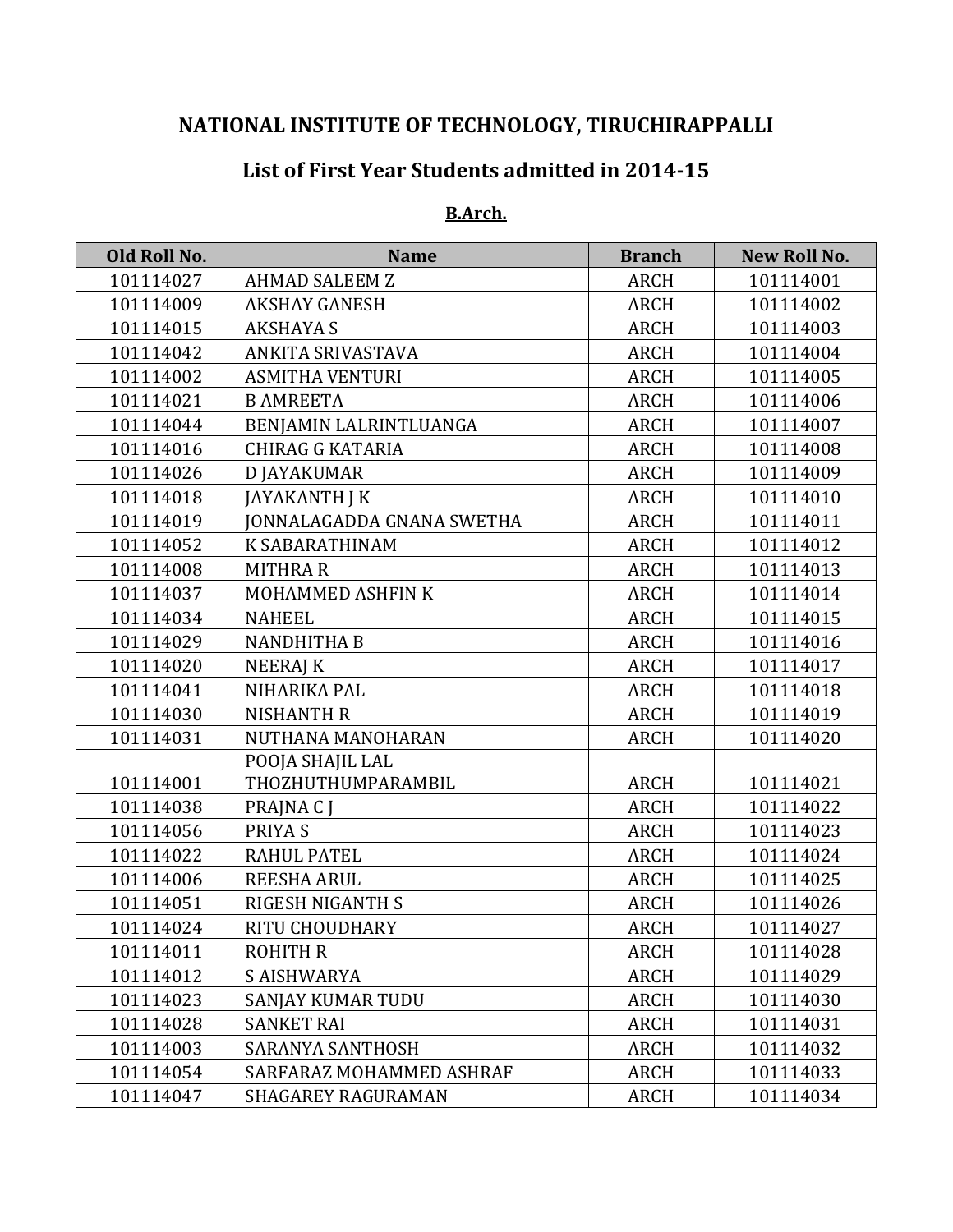# **NATIONAL INSTITUTE OF TECHNOLOGY, TIRUCHIRAPPALLI**

# **List of First Year Students admitted in 2014-15**

#### **B.Arch.**

| Old Roll No. | <b>Name</b>                      | <b>Branch</b> | <b>New Roll No.</b> |
|--------------|----------------------------------|---------------|---------------------|
| 101114027    | <b>AHMAD SALEEM Z</b>            | <b>ARCH</b>   | 101114001           |
| 101114009    | <b>AKSHAY GANESH</b>             | <b>ARCH</b>   | 101114002           |
| 101114015    | <b>AKSHAYA S</b>                 | ARCH          | 101114003           |
| 101114042    | ANKITA SRIVASTAVA                | <b>ARCH</b>   | 101114004           |
| 101114002    | <b>ASMITHA VENTURI</b>           | <b>ARCH</b>   | 101114005           |
| 101114021    | <b>B AMREETA</b>                 | <b>ARCH</b>   | 101114006           |
| 101114044    | BENJAMIN LALRINTLUANGA           | <b>ARCH</b>   | 101114007           |
| 101114016    | <b>CHIRAG G KATARIA</b>          | <b>ARCH</b>   | 101114008           |
| 101114026    | <b>D JAYAKUMAR</b>               | <b>ARCH</b>   | 101114009           |
| 101114018    | JAYAKANTH J K                    | <b>ARCH</b>   | 101114010           |
| 101114019    | <b>JONNALAGADDA GNANA SWETHA</b> | <b>ARCH</b>   | 101114011           |
| 101114052    | <b>K SABARATHINAM</b>            | <b>ARCH</b>   | 101114012           |
| 101114008    | <b>MITHRAR</b>                   | <b>ARCH</b>   | 101114013           |
| 101114037    | MOHAMMED ASHFIN K                | <b>ARCH</b>   | 101114014           |
| 101114034    | <b>NAHEEL</b>                    | <b>ARCH</b>   | 101114015           |
| 101114029    | <b>NANDHITHA B</b>               | <b>ARCH</b>   | 101114016           |
| 101114020    | <b>NEERAJ K</b>                  | <b>ARCH</b>   | 101114017           |
| 101114041    | NIHARIKA PAL                     | <b>ARCH</b>   | 101114018           |
| 101114030    | <b>NISHANTH R</b>                | <b>ARCH</b>   | 101114019           |
| 101114031    | NUTHANA MANOHARAN                | ARCH          | 101114020           |
|              | POOJA SHAJIL LAL                 |               |                     |
| 101114001    | THOZHUTHUMPARAMBIL               | <b>ARCH</b>   | 101114021           |
| 101114038    | PRAJNA C J                       | <b>ARCH</b>   | 101114022           |
| 101114056    | PRIYA S                          | <b>ARCH</b>   | 101114023           |
| 101114022    | <b>RAHUL PATEL</b>               | <b>ARCH</b>   | 101114024           |
| 101114006    | <b>REESHA ARUL</b>               | <b>ARCH</b>   | 101114025           |
| 101114051    | RIGESH NIGANTH S                 | <b>ARCH</b>   | 101114026           |
| 101114024    | RITU CHOUDHARY                   | <b>ARCH</b>   | 101114027           |
| 101114011    | <b>ROHITH R</b>                  | <b>ARCH</b>   | 101114028           |
| 101114012    | <b>S AISHWARYA</b>               | <b>ARCH</b>   | 101114029           |
| 101114023    | <b>SANJAY KUMAR TUDU</b>         | <b>ARCH</b>   | 101114030           |
| 101114028    | <b>SANKET RAI</b>                | ARCH          | 101114031           |
| 101114003    | <b>SARANYA SANTHOSH</b>          | ARCH          | 101114032           |
| 101114054    | SARFARAZ MOHAMMED ASHRAF         | <b>ARCH</b>   | 101114033           |
| 101114047    | <b>SHAGAREY RAGURAMAN</b>        | ARCH          | 101114034           |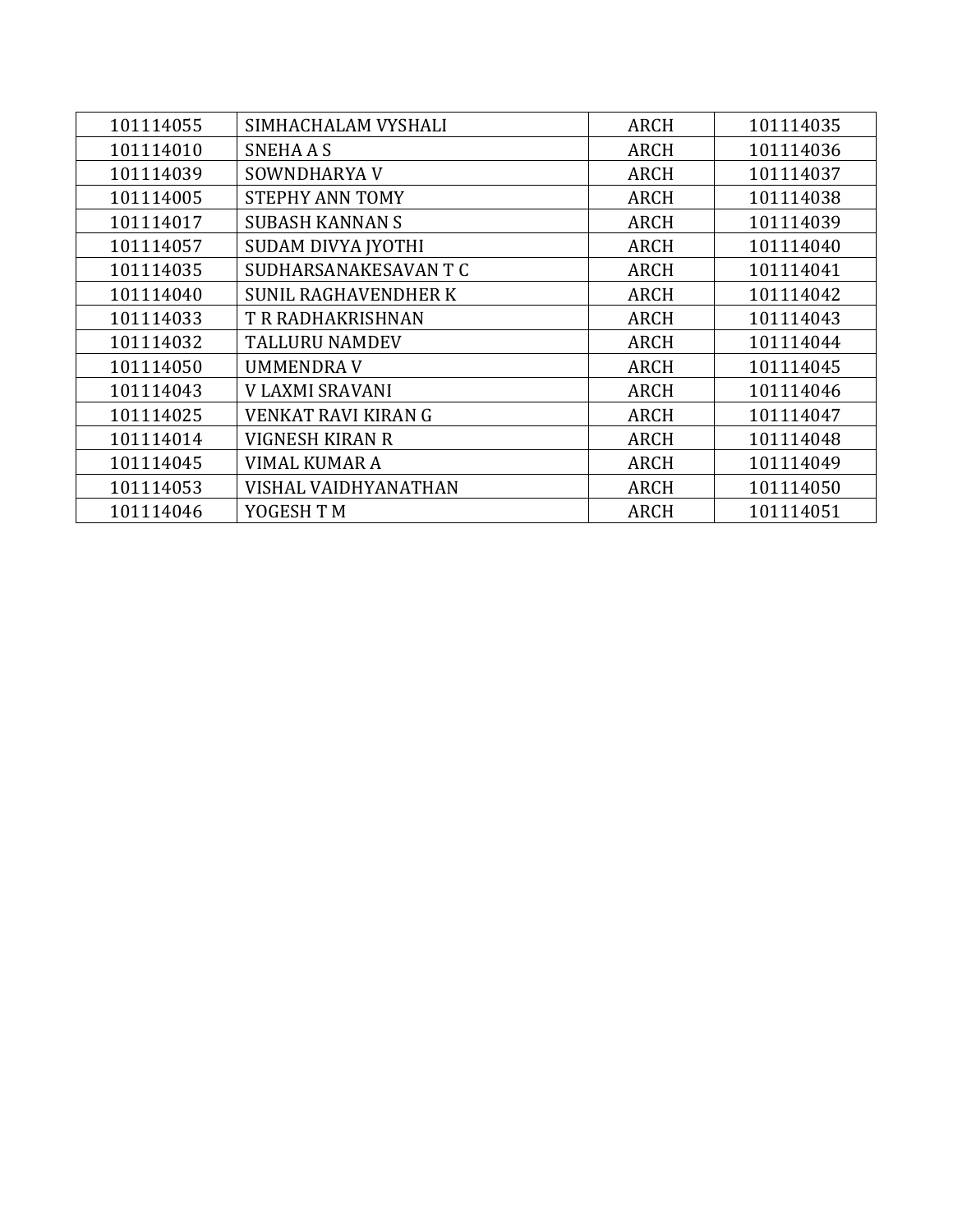| 101114055 | SIMHACHALAM VYSHALI         | <b>ARCH</b> | 101114035 |
|-----------|-----------------------------|-------------|-----------|
| 101114010 | <b>SNEHAAS</b>              | <b>ARCH</b> | 101114036 |
| 101114039 | SOWNDHARYA V                | <b>ARCH</b> | 101114037 |
| 101114005 | <b>STEPHY ANN TOMY</b>      | <b>ARCH</b> | 101114038 |
| 101114017 | <b>SUBASH KANNAN S</b>      | <b>ARCH</b> | 101114039 |
| 101114057 | SUDAM DIVYA JYOTHI          | <b>ARCH</b> | 101114040 |
| 101114035 | SUDHARSANAKESAVAN T C       | <b>ARCH</b> | 101114041 |
| 101114040 | <b>SUNIL RAGHAVENDHER K</b> | <b>ARCH</b> | 101114042 |
| 101114033 | <b>T R RADHAKRISHNAN</b>    | <b>ARCH</b> | 101114043 |
| 101114032 | <b>TALLURU NAMDEV</b>       | <b>ARCH</b> | 101114044 |
| 101114050 | <b>UMMENDRAV</b>            | <b>ARCH</b> | 101114045 |
| 101114043 | V LAXMI SRAVANI             | <b>ARCH</b> | 101114046 |
| 101114025 | <b>VENKAT RAVI KIRAN G</b>  | <b>ARCH</b> | 101114047 |
| 101114014 | <b>VIGNESH KIRAN R</b>      | <b>ARCH</b> | 101114048 |
| 101114045 | <b>VIMAL KUMAR A</b>        | <b>ARCH</b> | 101114049 |
| 101114053 | VISHAL VAIDHYANATHAN        | <b>ARCH</b> | 101114050 |
| 101114046 | YOGESH T M                  | <b>ARCH</b> | 101114051 |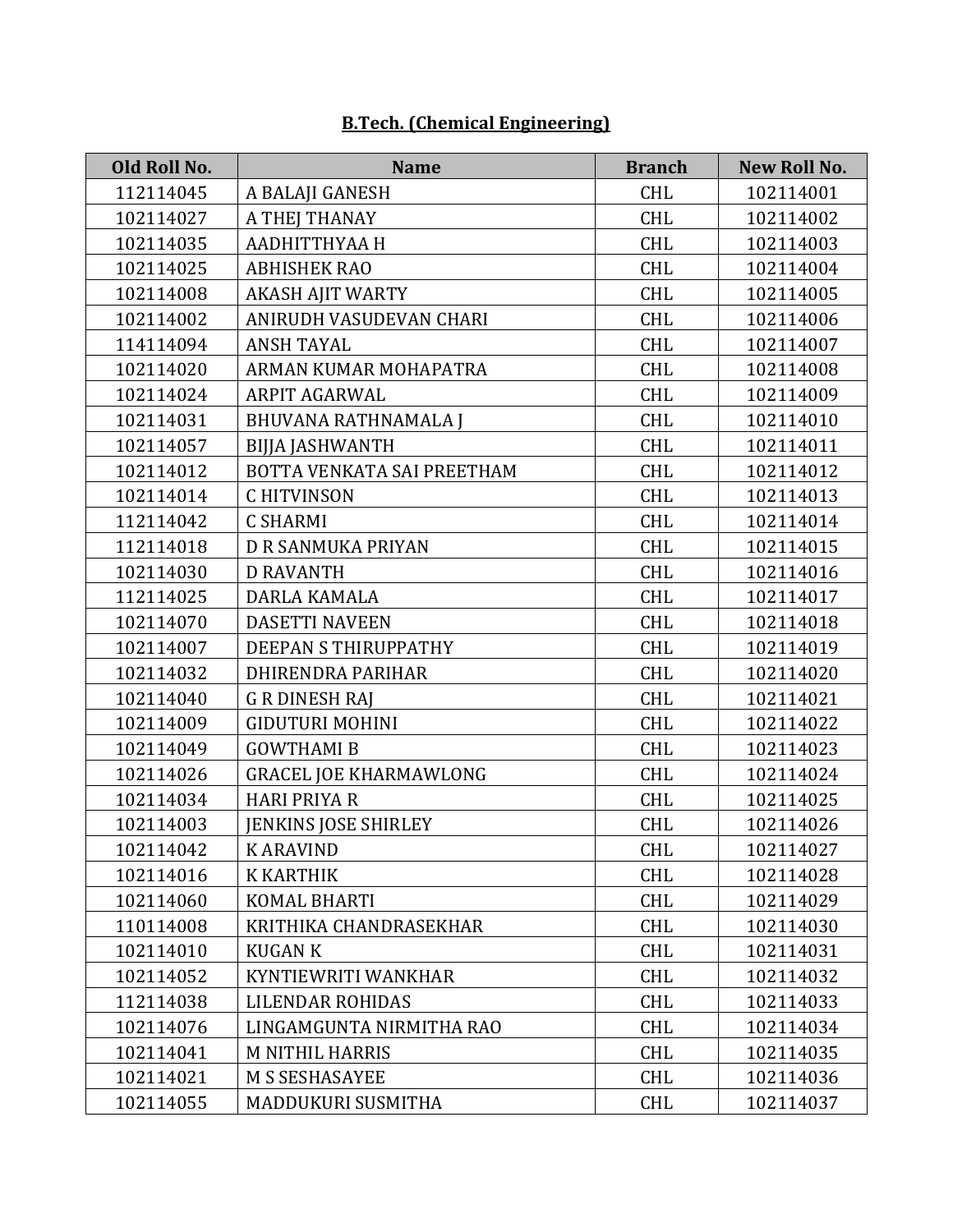# **B.Tech. (Chemical Engineering)**

| Old Roll No. | <b>Name</b>                   | <b>Branch</b> | <b>New Roll No.</b> |
|--------------|-------------------------------|---------------|---------------------|
| 112114045    | A BALAJI GANESH               | <b>CHL</b>    | 102114001           |
| 102114027    | A THEJ THANAY                 | <b>CHL</b>    | 102114002           |
| 102114035    | ААДНІТТНУАА Н                 | <b>CHL</b>    | 102114003           |
| 102114025    | <b>ABHISHEK RAO</b>           | <b>CHL</b>    | 102114004           |
| 102114008    | <b>AKASH AJIT WARTY</b>       | <b>CHL</b>    | 102114005           |
| 102114002    | ANIRUDH VASUDEVAN CHARI       | <b>CHL</b>    | 102114006           |
| 114114094    | <b>ANSH TAYAL</b>             | <b>CHL</b>    | 102114007           |
| 102114020    | ARMAN KUMAR MOHAPATRA         | <b>CHL</b>    | 102114008           |
| 102114024    | ARPIT AGARWAL                 | <b>CHL</b>    | 102114009           |
| 102114031    | <b>BHUVANA RATHNAMALA J</b>   | <b>CHL</b>    | 102114010           |
| 102114057    | <b>BIJJA JASHWANTH</b>        | <b>CHL</b>    | 102114011           |
| 102114012    | BOTTA VENKATA SAI PREETHAM    | <b>CHL</b>    | 102114012           |
| 102114014    | <b>CHITVINSON</b>             | <b>CHL</b>    | 102114013           |
| 112114042    | <b>C SHARMI</b>               | <b>CHL</b>    | 102114014           |
| 112114018    | D R SANMUKA PRIYAN            | <b>CHL</b>    | 102114015           |
| 102114030    | <b>D RAVANTH</b>              | <b>CHL</b>    | 102114016           |
| 112114025    | DARLA KAMALA                  | <b>CHL</b>    | 102114017           |
| 102114070    | <b>DASETTI NAVEEN</b>         | <b>CHL</b>    | 102114018           |
| 102114007    | DEEPAN S THIRUPPATHY          | <b>CHL</b>    | 102114019           |
| 102114032    | <b>DHIRENDRA PARIHAR</b>      | <b>CHL</b>    | 102114020           |
| 102114040    | <b>G R DINESH RAJ</b>         | <b>CHL</b>    | 102114021           |
| 102114009    | <b>GIDUTURI MOHINI</b>        | <b>CHL</b>    | 102114022           |
| 102114049    | <b>GOWTHAMI B</b>             | <b>CHL</b>    | 102114023           |
| 102114026    | <b>GRACEL JOE KHARMAWLONG</b> | <b>CHL</b>    | 102114024           |
| 102114034    | <b>HARI PRIYA R</b>           | <b>CHL</b>    | 102114025           |
| 102114003    | <b>JENKINS JOSE SHIRLEY</b>   | <b>CHL</b>    | 102114026           |
| 102114042    | <b>KARAVIND</b>               | <b>CHL</b>    | 102114027           |
| 102114016    | <b>K KARTHIK</b>              | <b>CHL</b>    | 102114028           |
| 102114060    | <b>KOMAL BHARTI</b>           | <b>CHL</b>    | 102114029           |
| 110114008    | KRITHIKA CHANDRASEKHAR        | <b>CHL</b>    | 102114030           |
| 102114010    | <b>KUGAN K</b>                | <b>CHL</b>    | 102114031           |
| 102114052    | KYNTIEWRITI WANKHAR           | <b>CHL</b>    | 102114032           |
| 112114038    | LILENDAR ROHIDAS              | CHL           | 102114033           |
| 102114076    | LINGAMGUNTA NIRMITHA RAO      | <b>CHL</b>    | 102114034           |
| 102114041    | <b>M NITHIL HARRIS</b>        | <b>CHL</b>    | 102114035           |
| 102114021    | <b>M S SESHASAYEE</b>         | <b>CHL</b>    | 102114036           |
| 102114055    | MADDUKURI SUSMITHA            | <b>CHL</b>    | 102114037           |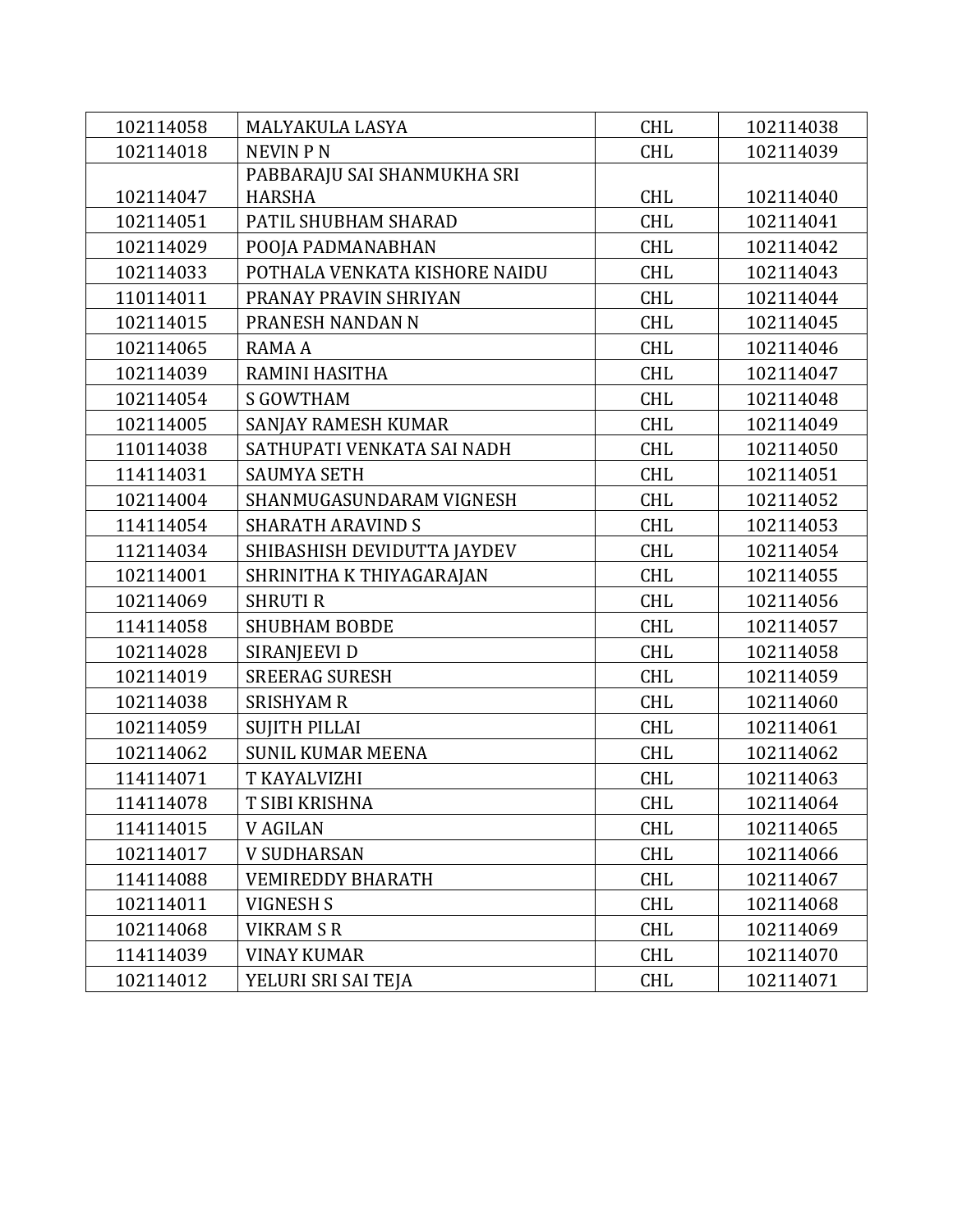| 102114058 | MALYAKULA LASYA               | <b>CHL</b> | 102114038 |
|-----------|-------------------------------|------------|-----------|
| 102114018 | <b>NEVIN PN</b>               | <b>CHL</b> | 102114039 |
|           | PABBARAJU SAI SHANMUKHA SRI   |            |           |
| 102114047 | <b>HARSHA</b>                 | <b>CHL</b> | 102114040 |
| 102114051 | PATIL SHUBHAM SHARAD          | <b>CHL</b> | 102114041 |
| 102114029 | POOJA PADMANABHAN             | <b>CHL</b> | 102114042 |
| 102114033 | POTHALA VENKATA KISHORE NAIDU | <b>CHL</b> | 102114043 |
| 110114011 | PRANAY PRAVIN SHRIYAN         | <b>CHL</b> | 102114044 |
| 102114015 | PRANESH NANDAN N              | <b>CHL</b> | 102114045 |
| 102114065 | RAMA A                        | <b>CHL</b> | 102114046 |
| 102114039 | RAMINI HASITHA                | <b>CHL</b> | 102114047 |
| 102114054 | <b>S GOWTHAM</b>              | <b>CHL</b> | 102114048 |
| 102114005 | SANJAY RAMESH KUMAR           | <b>CHL</b> | 102114049 |
| 110114038 | SATHUPATI VENKATA SAI NADH    | <b>CHL</b> | 102114050 |
| 114114031 | <b>SAUMYA SETH</b>            | <b>CHL</b> | 102114051 |
| 102114004 | SHANMUGASUNDARAM VIGNESH      | <b>CHL</b> | 102114052 |
| 114114054 | <b>SHARATH ARAVIND S</b>      | <b>CHL</b> | 102114053 |
| 112114034 | SHIBASHISH DEVIDUTTA JAYDEV   | <b>CHL</b> | 102114054 |
| 102114001 | SHRINITHA K THIYAGARAJAN      | <b>CHL</b> | 102114055 |
| 102114069 | <b>SHRUTI R</b>               | <b>CHL</b> | 102114056 |
| 114114058 | <b>SHUBHAM BOBDE</b>          | <b>CHL</b> | 102114057 |
| 102114028 | SIRANJEEVI D                  | <b>CHL</b> | 102114058 |
| 102114019 | <b>SREERAG SURESH</b>         | <b>CHL</b> | 102114059 |
| 102114038 | <b>SRISHYAM R</b>             | <b>CHL</b> | 102114060 |
| 102114059 | <b>SUJITH PILLAI</b>          | <b>CHL</b> | 102114061 |
| 102114062 | <b>SUNIL KUMAR MEENA</b>      | <b>CHL</b> | 102114062 |
| 114114071 | T KAYALVIZHI                  | <b>CHL</b> | 102114063 |
| 114114078 | T SIBI KRISHNA                | CHL        | 102114064 |
| 114114015 | <b>V AGILAN</b>               | <b>CHL</b> | 102114065 |
| 102114017 | <b>V SUDHARSAN</b>            | <b>CHL</b> | 102114066 |
| 114114088 | <b>VEMIREDDY BHARATH</b>      | <b>CHL</b> | 102114067 |
| 102114011 | VIGNESH S                     | <b>CHL</b> | 102114068 |
| 102114068 | <b>VIKRAM S R</b>             | CHL        | 102114069 |
| 114114039 | <b>VINAY KUMAR</b>            | <b>CHL</b> | 102114070 |
| 102114012 | YELURI SRI SAI TEJA           | <b>CHL</b> | 102114071 |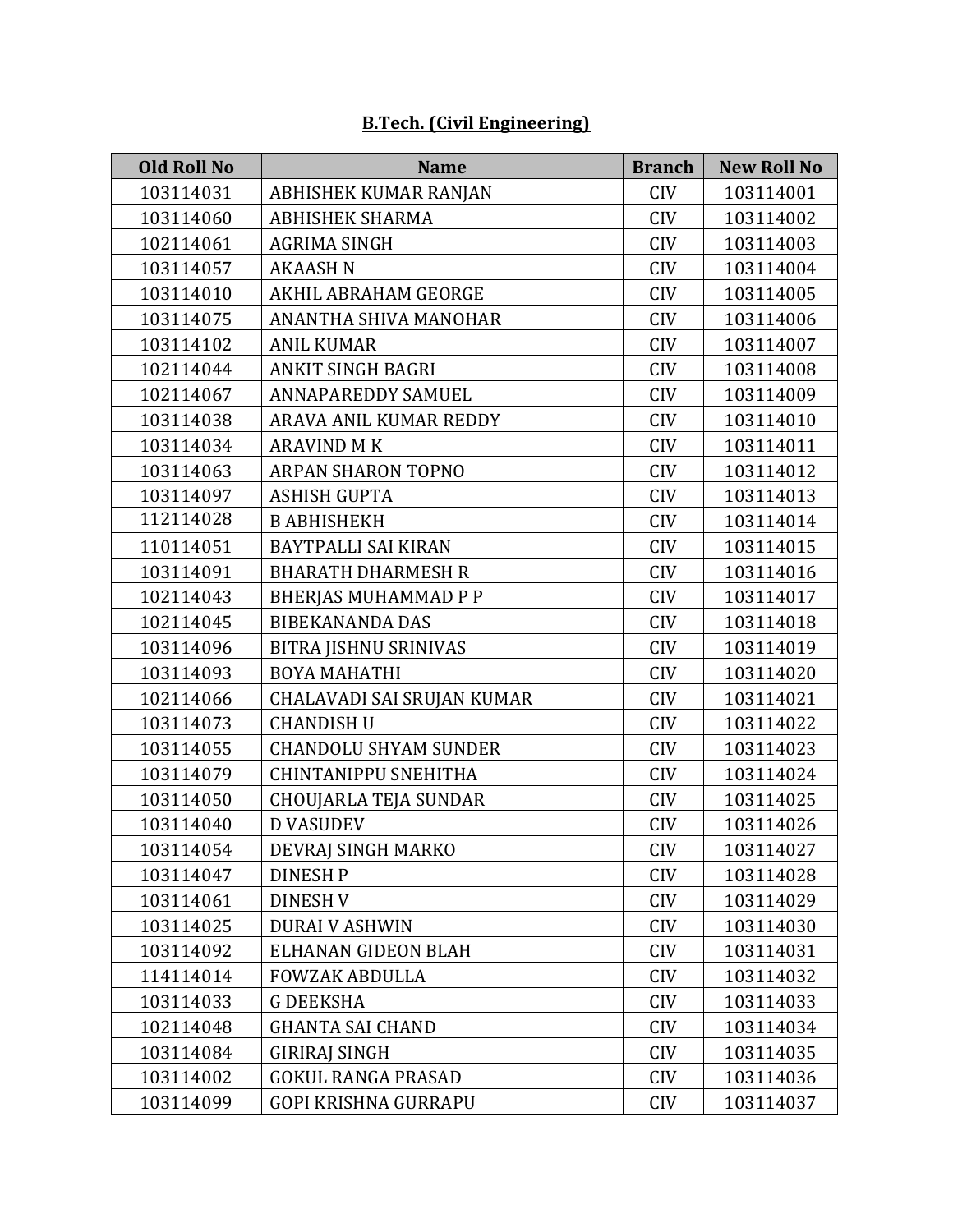# **B.Tech. (Civil Engineering)**

| <b>Old Roll No</b> | <b>Name</b>                  | <b>Branch</b> | <b>New Roll No</b> |
|--------------------|------------------------------|---------------|--------------------|
| 103114031          | ABHISHEK KUMAR RANJAN        | <b>CIV</b>    | 103114001          |
| 103114060          | <b>ABHISHEK SHARMA</b>       | <b>CIV</b>    | 103114002          |
| 102114061          | <b>AGRIMA SINGH</b>          | <b>CIV</b>    | 103114003          |
| 103114057          | <b>AKAASH N</b>              | <b>CIV</b>    | 103114004          |
| 103114010          | AKHIL ABRAHAM GEORGE         | <b>CIV</b>    | 103114005          |
| 103114075          | ANANTHA SHIVA MANOHAR        | <b>CIV</b>    | 103114006          |
| 103114102          | <b>ANIL KUMAR</b>            | <b>CIV</b>    | 103114007          |
| 102114044          | <b>ANKIT SINGH BAGRI</b>     | <b>CIV</b>    | 103114008          |
| 102114067          | <b>ANNAPAREDDY SAMUEL</b>    | <b>CIV</b>    | 103114009          |
| 103114038          | ARAVA ANIL KUMAR REDDY       | <b>CIV</b>    | 103114010          |
| 103114034          | <b>ARAVIND M K</b>           | <b>CIV</b>    | 103114011          |
| 103114063          | ARPAN SHARON TOPNO           | <b>CIV</b>    | 103114012          |
| 103114097          | <b>ASHISH GUPTA</b>          | <b>CIV</b>    | 103114013          |
| 112114028          | <b>B ABHISHEKH</b>           | <b>CIV</b>    | 103114014          |
| 110114051          | <b>BAYTPALLI SAI KIRAN</b>   | <b>CIV</b>    | 103114015          |
| 103114091          | <b>BHARATH DHARMESH R</b>    | <b>CIV</b>    | 103114016          |
| 102114043          | <b>BHERJAS MUHAMMAD P P</b>  | <b>CIV</b>    | 103114017          |
| 102114045          | <b>BIBEKANANDA DAS</b>       | <b>CIV</b>    | 103114018          |
| 103114096          | <b>BITRA JISHNU SRINIVAS</b> | <b>CIV</b>    | 103114019          |
| 103114093          | <b>BOYA MAHATHI</b>          | <b>CIV</b>    | 103114020          |
| 102114066          | CHALAVADI SAI SRUJAN KUMAR   | <b>CIV</b>    | 103114021          |
| 103114073          | <b>CHANDISH U</b>            | <b>CIV</b>    | 103114022          |
| 103114055          | <b>CHANDOLU SHYAM SUNDER</b> | <b>CIV</b>    | 103114023          |
| 103114079          | <b>CHINTANIPPU SNEHITHA</b>  | <b>CIV</b>    | 103114024          |
| 103114050          | <b>CHOUJARLA TEJA SUNDAR</b> | <b>CIV</b>    | 103114025          |
| 103114040          | <b>D VASUDEV</b>             | <b>CIV</b>    | 103114026          |
| 103114054          | DEVRAJ SINGH MARKO           | <b>CIV</b>    | 103114027          |
| 103114047          | <b>DINESH P</b>              | <b>CIV</b>    | 103114028          |
| 103114061          | DINESH V                     | <b>CIV</b>    | 103114029          |
| 103114025          | <b>DURAI V ASHWIN</b>        | <b>CIV</b>    | 103114030          |
| 103114092          | ELHANAN GIDEON BLAH          | <b>CIV</b>    | 103114031          |
| 114114014          | <b>FOWZAK ABDULLA</b>        | <b>CIV</b>    | 103114032          |
| 103114033          | <b>G DEEKSHA</b>             | <b>CIV</b>    | 103114033          |
| 102114048          | <b>GHANTA SAI CHAND</b>      | <b>CIV</b>    | 103114034          |
| 103114084          | <b>GIRIRAJ SINGH</b>         | <b>CIV</b>    | 103114035          |
| 103114002          | <b>GOKUL RANGA PRASAD</b>    | <b>CIV</b>    | 103114036          |
| 103114099          | GOPI KRISHNA GURRAPU         | CIV           | 103114037          |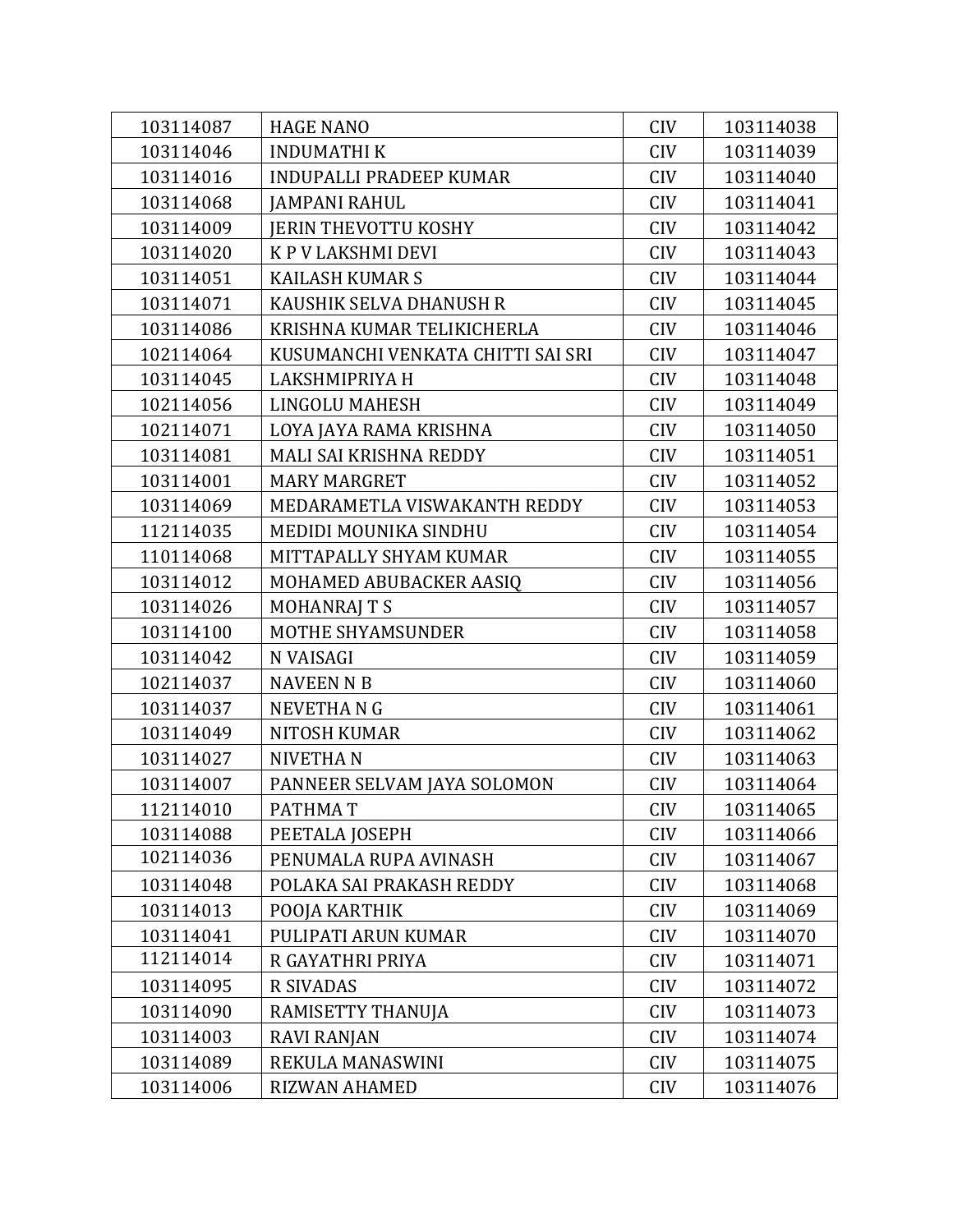| 103114087 | <b>HAGE NANO</b>                  | <b>CIV</b> | 103114038 |
|-----------|-----------------------------------|------------|-----------|
| 103114046 | <b>INDUMATHIK</b>                 | <b>CIV</b> | 103114039 |
| 103114016 | <b>INDUPALLI PRADEEP KUMAR</b>    | <b>CIV</b> | 103114040 |
| 103114068 | <b>JAMPANI RAHUL</b>              | <b>CIV</b> | 103114041 |
| 103114009 | <b>JERIN THEVOTTU KOSHY</b>       | <b>CIV</b> | 103114042 |
| 103114020 | K P V LAKSHMI DEVI                | <b>CIV</b> | 103114043 |
| 103114051 | <b>KAILASH KUMAR S</b>            | <b>CIV</b> | 103114044 |
| 103114071 | KAUSHIK SELVA DHANUSH R           | <b>CIV</b> | 103114045 |
| 103114086 | KRISHNA KUMAR TELIKICHERLA        | <b>CIV</b> | 103114046 |
| 102114064 | KUSUMANCHI VENKATA CHITTI SAI SRI | <b>CIV</b> | 103114047 |
| 103114045 | LAKSHMIPRIYA H                    | <b>CIV</b> | 103114048 |
| 102114056 | <b>LINGOLU MAHESH</b>             | <b>CIV</b> | 103114049 |
| 102114071 | LOYA JAYA RAMA KRISHNA            | <b>CIV</b> | 103114050 |
| 103114081 | MALI SAI KRISHNA REDDY            | <b>CIV</b> | 103114051 |
| 103114001 | <b>MARY MARGRET</b>               | <b>CIV</b> | 103114052 |
| 103114069 | MEDARAMETLA VISWAKANTH REDDY      | <b>CIV</b> | 103114053 |
| 112114035 | MEDIDI MOUNIKA SINDHU             | <b>CIV</b> | 103114054 |
| 110114068 | MITTAPALLY SHYAM KUMAR            | <b>CIV</b> | 103114055 |
| 103114012 | MOHAMED ABUBACKER AASIQ           | <b>CIV</b> | 103114056 |
| 103114026 | <b>MOHANRAJ T S</b>               | <b>CIV</b> | 103114057 |
| 103114100 | MOTHE SHYAMSUNDER                 | <b>CIV</b> | 103114058 |
| 103114042 | N VAISAGI                         | <b>CIV</b> | 103114059 |
| 102114037 | <b>NAVEEN N B</b>                 | <b>CIV</b> | 103114060 |
| 103114037 | <b>NEVETHANG</b>                  | <b>CIV</b> | 103114061 |
| 103114049 | <b>NITOSH KUMAR</b>               | <b>CIV</b> | 103114062 |
| 103114027 | <b>NIVETHAN</b>                   | <b>CIV</b> | 103114063 |
| 103114007 | PANNEER SELVAM JAYA SOLOMON       | <b>CIV</b> | 103114064 |
| 112114010 | PATHMAT                           | <b>CIV</b> | 103114065 |
| 103114088 | PEETALA JOSEPH                    | <b>CIV</b> | 103114066 |
| 102114036 | PENUMALA RUPA AVINASH             | <b>CIV</b> | 103114067 |
| 103114048 | POLAKA SAI PRAKASH REDDY          | <b>CIV</b> | 103114068 |
| 103114013 | POOJA KARTHIK                     | <b>CIV</b> | 103114069 |
| 103114041 | PULIPATI ARUN KUMAR               | <b>CIV</b> | 103114070 |
| 112114014 | R GAYATHRI PRIYA                  | <b>CIV</b> | 103114071 |
| 103114095 | <b>R SIVADAS</b>                  | <b>CIV</b> | 103114072 |
| 103114090 | RAMISETTY THANUJA                 | <b>CIV</b> | 103114073 |
| 103114003 | <b>RAVI RANJAN</b>                | <b>CIV</b> | 103114074 |
| 103114089 | REKULA MANASWINI                  | <b>CIV</b> | 103114075 |
| 103114006 | <b>RIZWAN AHAMED</b>              | <b>CIV</b> | 103114076 |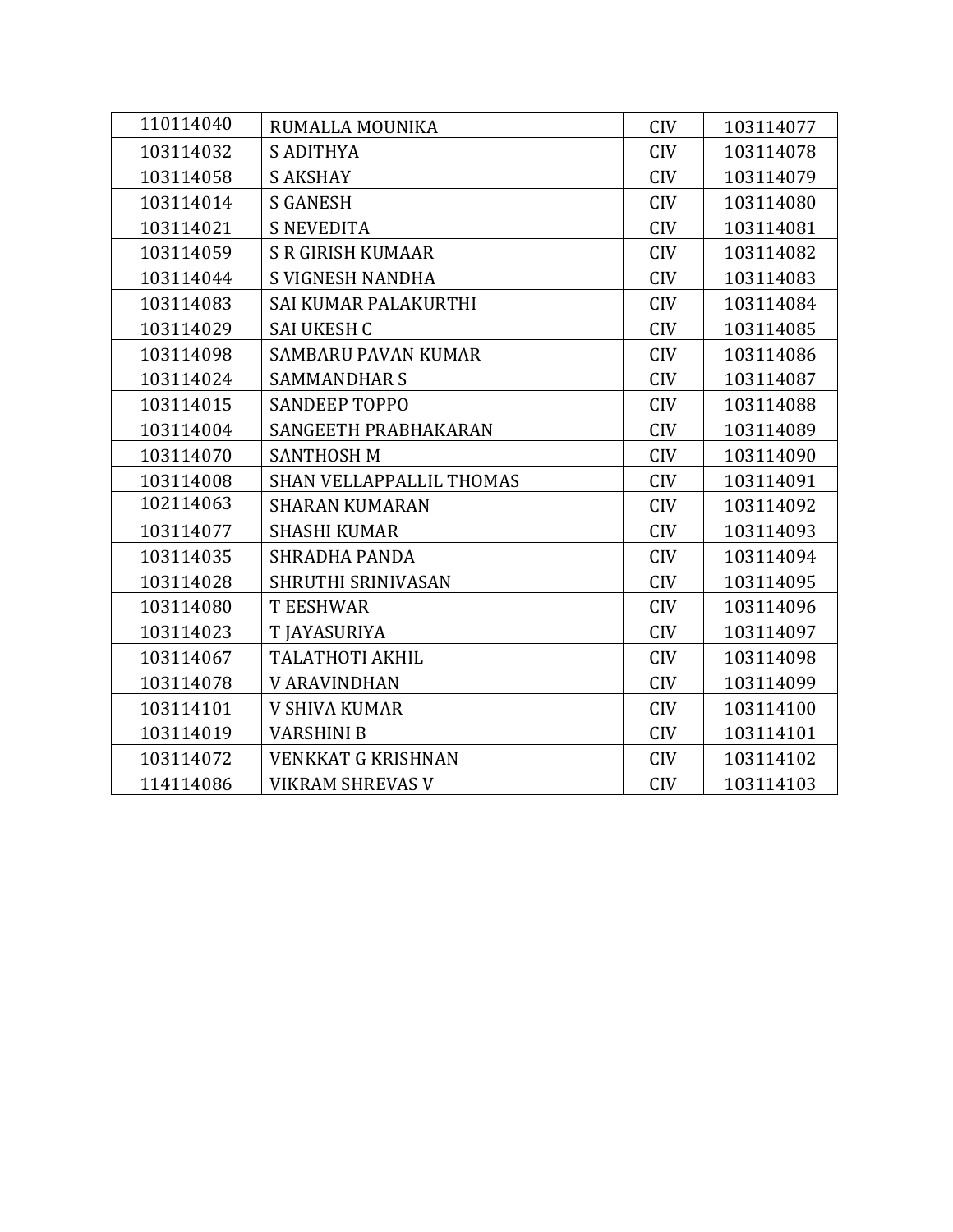| 110114040 | RUMALLA MOUNIKA                 | <b>CIV</b> | 103114077 |
|-----------|---------------------------------|------------|-----------|
| 103114032 | <b>S ADITHYA</b>                | <b>CIV</b> | 103114078 |
| 103114058 | <b>S AKSHAY</b>                 | <b>CIV</b> | 103114079 |
| 103114014 | <b>S GANESH</b>                 | <b>CIV</b> | 103114080 |
| 103114021 | <b>S NEVEDITA</b>               | <b>CIV</b> | 103114081 |
| 103114059 | <b>S R GIRISH KUMAAR</b>        | <b>CIV</b> | 103114082 |
| 103114044 | S VIGNESH NANDHA                | <b>CIV</b> | 103114083 |
| 103114083 | SAI KUMAR PALAKURTHI            | <b>CIV</b> | 103114084 |
| 103114029 | <b>SAI UKESH C</b>              | <b>CIV</b> | 103114085 |
| 103114098 | <b>SAMBARU PAVAN KUMAR</b>      | <b>CIV</b> | 103114086 |
| 103114024 | <b>SAMMANDHAR S</b>             | <b>CIV</b> | 103114087 |
| 103114015 | <b>SANDEEP TOPPO</b>            | <b>CIV</b> | 103114088 |
| 103114004 | SANGEETH PRABHAKARAN            | <b>CIV</b> | 103114089 |
| 103114070 | <b>SANTHOSH M</b>               | <b>CIV</b> | 103114090 |
| 103114008 | <b>SHAN VELLAPPALLIL THOMAS</b> | <b>CIV</b> | 103114091 |
| 102114063 | <b>SHARAN KUMARAN</b>           | <b>CIV</b> | 103114092 |
| 103114077 | <b>SHASHI KUMAR</b>             | <b>CIV</b> | 103114093 |
| 103114035 | <b>SHRADHA PANDA</b>            | <b>CIV</b> | 103114094 |
| 103114028 | SHRUTHI SRINIVASAN              | <b>CIV</b> | 103114095 |
| 103114080 | <b>T EESHWAR</b>                | <b>CIV</b> | 103114096 |
| 103114023 | T JAYASURIYA                    | <b>CIV</b> | 103114097 |
| 103114067 | <b>TALATHOTI AKHIL</b>          | <b>CIV</b> | 103114098 |
| 103114078 | <b>V ARAVINDHAN</b>             | <b>CIV</b> | 103114099 |
| 103114101 | <b>V SHIVA KUMAR</b>            | <b>CIV</b> | 103114100 |
| 103114019 | <b>VARSHINI B</b>               | <b>CIV</b> | 103114101 |
| 103114072 | <b>VENKKAT G KRISHNAN</b>       | <b>CIV</b> | 103114102 |
| 114114086 | <b>VIKRAM SHREVAS V</b>         | <b>CIV</b> | 103114103 |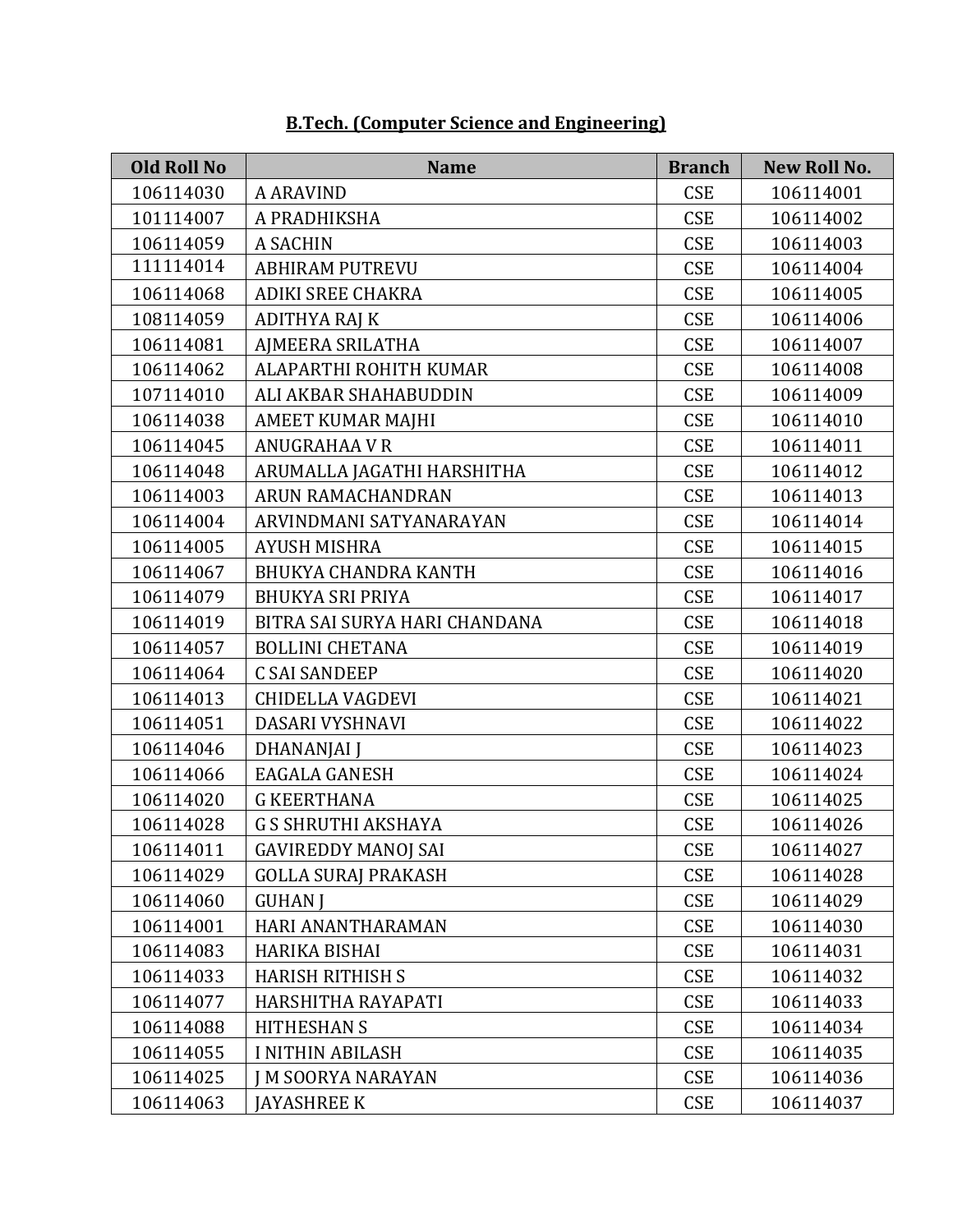| <b>Old Roll No</b> | <b>Name</b>                   | <b>Branch</b> | <b>New Roll No.</b> |
|--------------------|-------------------------------|---------------|---------------------|
| 106114030          | <b>A ARAVIND</b>              | <b>CSE</b>    | 106114001           |
| 101114007          | A PRADHIKSHA                  | <b>CSE</b>    | 106114002           |
| 106114059          | <b>A SACHIN</b>               | <b>CSE</b>    | 106114003           |
| 111114014          | <b>ABHIRAM PUTREVU</b>        | <b>CSE</b>    | 106114004           |
| 106114068          | <b>ADIKI SREE CHAKRA</b>      | <b>CSE</b>    | 106114005           |
| 108114059          | <b>ADITHYA RAJ K</b>          | <b>CSE</b>    | 106114006           |
| 106114081          | AJMEERA SRILATHA              | <b>CSE</b>    | 106114007           |
| 106114062          | ALAPARTHI ROHITH KUMAR        | <b>CSE</b>    | 106114008           |
| 107114010          | ALI AKBAR SHAHABUDDIN         | <b>CSE</b>    | 106114009           |
| 106114038          | AMEET KUMAR MAJHI             | <b>CSE</b>    | 106114010           |
| 106114045          | ANUGRAHAA V R                 | <b>CSE</b>    | 106114011           |
| 106114048          | ARUMALLA JAGATHI HARSHITHA    | <b>CSE</b>    | 106114012           |
| 106114003          | <b>ARUN RAMACHANDRAN</b>      | <b>CSE</b>    | 106114013           |
| 106114004          | ARVINDMANI SATYANARAYAN       | <b>CSE</b>    | 106114014           |
| 106114005          | <b>AYUSH MISHRA</b>           | <b>CSE</b>    | 106114015           |
| 106114067          | <b>BHUKYA CHANDRA KANTH</b>   | <b>CSE</b>    | 106114016           |
| 106114079          | <b>BHUKYA SRI PRIYA</b>       | <b>CSE</b>    | 106114017           |
| 106114019          | BITRA SAI SURYA HARI CHANDANA | <b>CSE</b>    | 106114018           |
| 106114057          | <b>BOLLINI CHETANA</b>        | <b>CSE</b>    | 106114019           |
| 106114064          | <b>C SAI SANDEEP</b>          | <b>CSE</b>    | 106114020           |
| 106114013          | CHIDELLA VAGDEVI              | <b>CSE</b>    | 106114021           |
| 106114051          | DASARI VYSHNAVI               | <b>CSE</b>    | 106114022           |
| 106114046          | <b>DHANANJAI J</b>            | <b>CSE</b>    | 106114023           |
| 106114066          | <b>EAGALA GANESH</b>          | <b>CSE</b>    | 106114024           |
| 106114020          | <b>G KEERTHANA</b>            | <b>CSE</b>    | 106114025           |
| 106114028          | <b>G S SHRUTHI AKSHAYA</b>    | <b>CSE</b>    | 106114026           |
| 106114011          | <b>GAVIREDDY MANOJ SAI</b>    | <b>CSE</b>    | 106114027           |
| 106114029          | <b>GOLLA SURAJ PRAKASH</b>    | <b>CSE</b>    | 106114028           |
| 106114060          | <b>GUHAN J</b>                | <b>CSE</b>    | 106114029           |
| 106114001          | HARI ANANTHARAMAN             | <b>CSE</b>    | 106114030           |
| 106114083          | <b>HARIKA BISHAI</b>          | <b>CSE</b>    | 106114031           |
| 106114033          | <b>HARISH RITHISH S</b>       | <b>CSE</b>    | 106114032           |
| 106114077          | HARSHITHA RAYAPATI            | <b>CSE</b>    | 106114033           |
| 106114088          | <b>HITHESHAN S</b>            | <b>CSE</b>    | 106114034           |
| 106114055          | <b>I NITHIN ABILASH</b>       | <b>CSE</b>    | 106114035           |
| 106114025          | <b>M SOORYA NARAYAN</b>       | <b>CSE</b>    | 106114036           |
| 106114063          | <b>JAYASHREE K</b>            | <b>CSE</b>    | 106114037           |

#### **B.Tech. (Computer Science and Engineering)**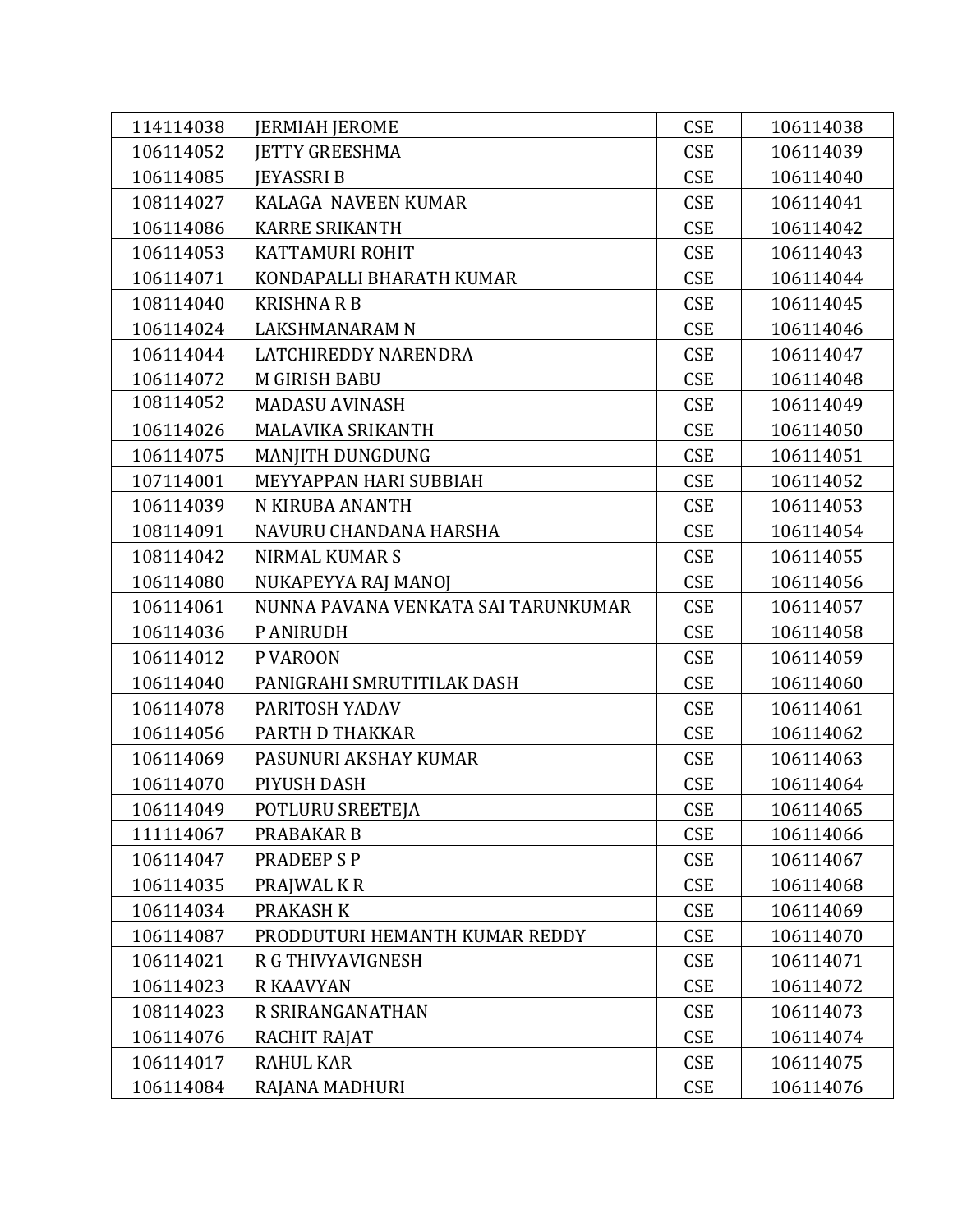| 114114038 | <b>JERMIAH JEROME</b>               | <b>CSE</b> | 106114038 |
|-----------|-------------------------------------|------------|-----------|
| 106114052 | <b>IETTY GREESHMA</b>               | <b>CSE</b> | 106114039 |
| 106114085 | <b>JEYASSRI B</b>                   | <b>CSE</b> | 106114040 |
| 108114027 | KALAGA NAVEEN KUMAR                 | <b>CSE</b> | 106114041 |
| 106114086 | <b>KARRE SRIKANTH</b>               | <b>CSE</b> | 106114042 |
| 106114053 | KATTAMURI ROHIT                     | <b>CSE</b> | 106114043 |
| 106114071 | KONDAPALLI BHARATH KUMAR            | <b>CSE</b> | 106114044 |
| 108114040 | <b>KRISHNA R B</b>                  | <b>CSE</b> | 106114045 |
| 106114024 | LAKSHMANARAM N                      | <b>CSE</b> | 106114046 |
| 106114044 | LATCHIREDDY NARENDRA                | <b>CSE</b> | 106114047 |
| 106114072 | <b>M GIRISH BABU</b>                | <b>CSE</b> | 106114048 |
| 108114052 | <b>MADASU AVINASH</b>               | <b>CSE</b> | 106114049 |
| 106114026 | MALAVIKA SRIKANTH                   | <b>CSE</b> | 106114050 |
| 106114075 | MANJITH DUNGDUNG                    | <b>CSE</b> | 106114051 |
| 107114001 | MEYYAPPAN HARI SUBBIAH              | <b>CSE</b> | 106114052 |
| 106114039 | N KIRUBA ANANTH                     | <b>CSE</b> | 106114053 |
| 108114091 | NAVURU CHANDANA HARSHA              | <b>CSE</b> | 106114054 |
| 108114042 | <b>NIRMAL KUMAR S</b>               | <b>CSE</b> | 106114055 |
| 106114080 | NUKAPEYYA RAJ MANOJ                 | <b>CSE</b> | 106114056 |
| 106114061 | NUNNA PAVANA VENKATA SAI TARUNKUMAR | <b>CSE</b> | 106114057 |
| 106114036 | P ANIRUDH                           | <b>CSE</b> | 106114058 |
| 106114012 | P VAROON                            | <b>CSE</b> | 106114059 |
| 106114040 | PANIGRAHI SMRUTITILAK DASH          | <b>CSE</b> | 106114060 |
| 106114078 | PARITOSH YADAV                      | <b>CSE</b> | 106114061 |
| 106114056 | PARTH D THAKKAR                     | <b>CSE</b> | 106114062 |
| 106114069 | PASUNURI AKSHAY KUMAR               | <b>CSE</b> | 106114063 |
| 106114070 | PIYUSH DASH                         | <b>CSE</b> | 106114064 |
| 106114049 | POTLURU SREETEJA                    | <b>CSE</b> | 106114065 |
| 111114067 | PRABAKAR B                          | <b>CSE</b> | 106114066 |
| 106114047 | <b>PRADEEP S P</b>                  | <b>CSE</b> | 106114067 |
| 106114035 | PRAJWAL K R                         | <b>CSE</b> | 106114068 |
| 106114034 | <b>PRAKASH K</b>                    | <b>CSE</b> | 106114069 |
| 106114087 | PRODDUTURI HEMANTH KUMAR REDDY      | <b>CSE</b> | 106114070 |
| 106114021 | R G THIVYAVIGNESH                   | <b>CSE</b> | 106114071 |
| 106114023 | <b>R KAAVYAN</b>                    | <b>CSE</b> | 106114072 |
| 108114023 | R SRIRANGANATHAN                    | <b>CSE</b> | 106114073 |
| 106114076 | RACHIT RAJAT                        | <b>CSE</b> | 106114074 |
| 106114017 | <b>RAHUL KAR</b>                    | <b>CSE</b> | 106114075 |
| 106114084 | RAJANA MADHURI                      | <b>CSE</b> | 106114076 |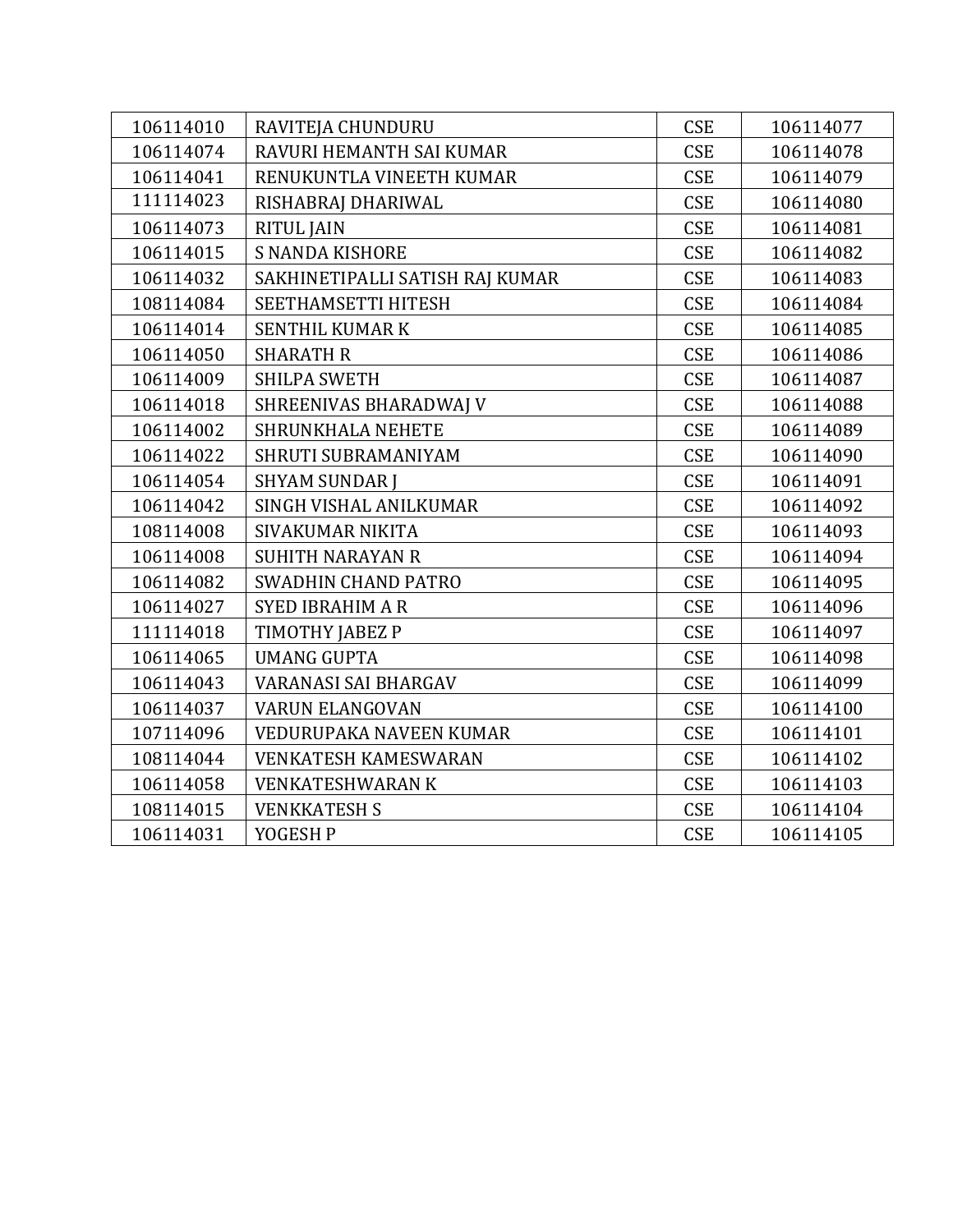| 106114010 | RAVITEJA CHUNDURU               | <b>CSE</b> | 106114077 |
|-----------|---------------------------------|------------|-----------|
| 106114074 | RAVURI HEMANTH SAI KUMAR        | <b>CSE</b> | 106114078 |
| 106114041 | RENUKUNTLA VINEETH KUMAR        | <b>CSE</b> | 106114079 |
| 111114023 | RISHABRAJ DHARIWAL              | <b>CSE</b> | 106114080 |
| 106114073 | <b>RITUL JAIN</b>               | <b>CSE</b> | 106114081 |
| 106114015 | <b>S NANDA KISHORE</b>          | <b>CSE</b> | 106114082 |
| 106114032 | SAKHINETIPALLI SATISH RAJ KUMAR | <b>CSE</b> | 106114083 |
| 108114084 | SEETHAMSETTI HITESH             | <b>CSE</b> | 106114084 |
| 106114014 | <b>SENTHIL KUMAR K</b>          | <b>CSE</b> | 106114085 |
| 106114050 | <b>SHARATH R</b>                | <b>CSE</b> | 106114086 |
| 106114009 | <b>SHILPA SWETH</b>             | <b>CSE</b> | 106114087 |
| 106114018 | SHREENIVAS BHARADWAJ V          | <b>CSE</b> | 106114088 |
| 106114002 | <b>SHRUNKHALA NEHETE</b>        | <b>CSE</b> | 106114089 |
| 106114022 | SHRUTI SUBRAMANIYAM             | <b>CSE</b> | 106114090 |
| 106114054 | <b>SHYAM SUNDAR J</b>           | <b>CSE</b> | 106114091 |
| 106114042 | SINGH VISHAL ANILKUMAR          | <b>CSE</b> | 106114092 |
| 108114008 | SIVAKUMAR NIKITA                | <b>CSE</b> | 106114093 |
| 106114008 | <b>SUHITH NARAYAN R</b>         | <b>CSE</b> | 106114094 |
| 106114082 | <b>SWADHIN CHAND PATRO</b>      | <b>CSE</b> | 106114095 |
| 106114027 | <b>SYED IBRAHIM A R</b>         | <b>CSE</b> | 106114096 |
| 111114018 | TIMOTHY JABEZ P                 | <b>CSE</b> | 106114097 |
| 106114065 | <b>UMANG GUPTA</b>              | <b>CSE</b> | 106114098 |
| 106114043 | VARANASI SAI BHARGAV            | <b>CSE</b> | 106114099 |
| 106114037 | <b>VARUN ELANGOVAN</b>          | <b>CSE</b> | 106114100 |
| 107114096 | VEDURUPAKA NAVEEN KUMAR         | <b>CSE</b> | 106114101 |
| 108114044 | <b>VENKATESH KAMESWARAN</b>     | <b>CSE</b> | 106114102 |
| 106114058 | <b>VENKATESHWARAN K</b>         | <b>CSE</b> | 106114103 |
| 108114015 | <b>VENKKATESH S</b>             | <b>CSE</b> | 106114104 |
| 106114031 | YOGESH P                        | <b>CSE</b> | 106114105 |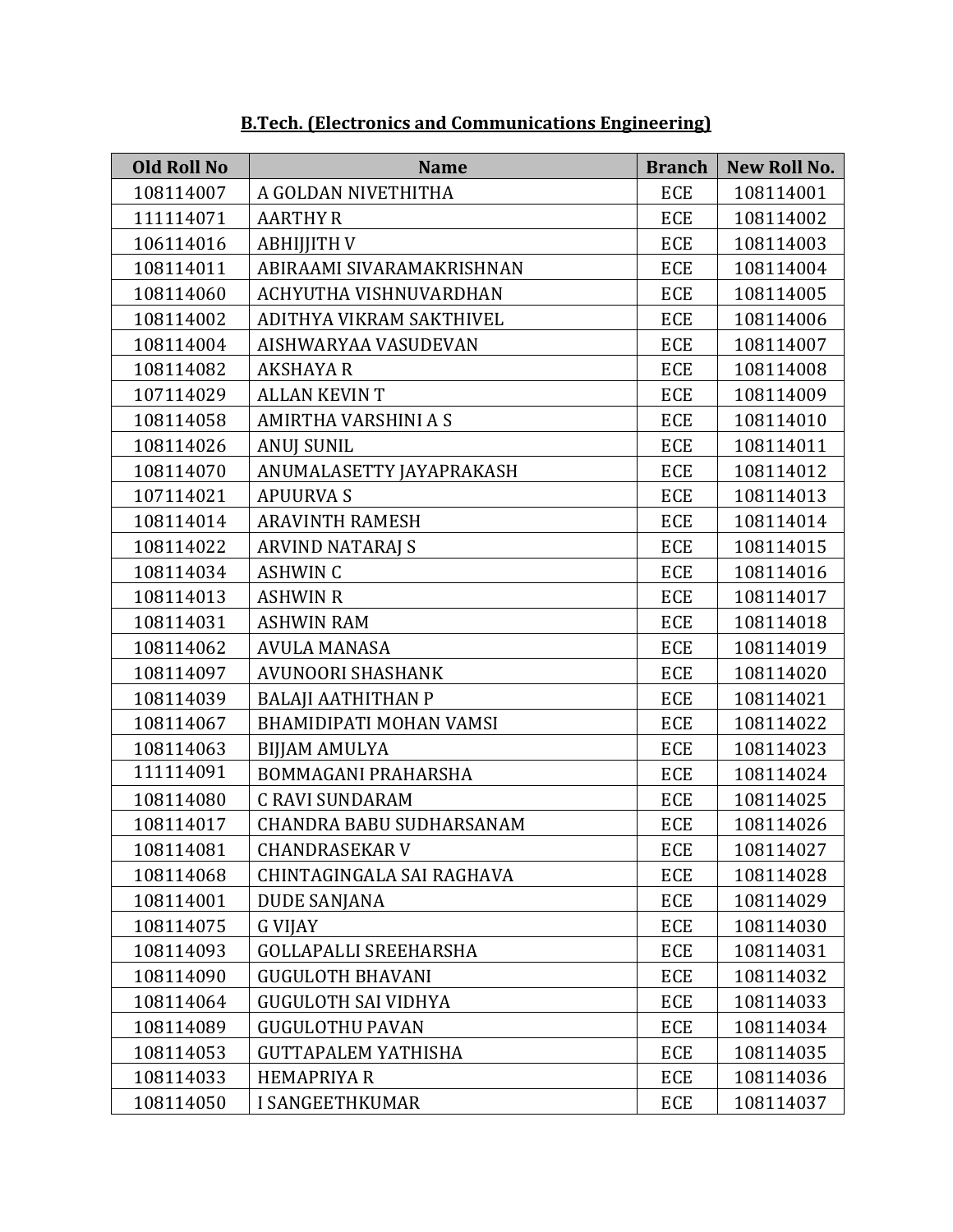| <b>Old Roll No</b> | <b>Name</b>                  | <b>Branch</b> | <b>New Roll No.</b> |
|--------------------|------------------------------|---------------|---------------------|
| 108114007          | A GOLDAN NIVETHITHA          | <b>ECE</b>    | 108114001           |
| 111114071          | <b>AARTHY R</b>              | <b>ECE</b>    | 108114002           |
| 106114016          | <b>ABHIJITH V</b>            | <b>ECE</b>    | 108114003           |
| 108114011          | ABIRAAMI SIVARAMAKRISHNAN    | <b>ECE</b>    | 108114004           |
| 108114060          | ACHYUTHA VISHNUVARDHAN       | <b>ECE</b>    | 108114005           |
| 108114002          | ADITHYA VIKRAM SAKTHIVEL     | <b>ECE</b>    | 108114006           |
| 108114004          | AISHWARYAA VASUDEVAN         | <b>ECE</b>    | 108114007           |
| 108114082          | <b>AKSHAYA R</b>             | <b>ECE</b>    | 108114008           |
| 107114029          | <b>ALLAN KEVIN T</b>         | <b>ECE</b>    | 108114009           |
| 108114058          | AMIRTHA VARSHINI A S         | <b>ECE</b>    | 108114010           |
| 108114026          | <b>ANUJ SUNIL</b>            | <b>ECE</b>    | 108114011           |
| 108114070          | ANUMALASETTY JAYAPRAKASH     | <b>ECE</b>    | 108114012           |
| 107114021          | <b>APUURVAS</b>              | <b>ECE</b>    | 108114013           |
| 108114014          | <b>ARAVINTH RAMESH</b>       | <b>ECE</b>    | 108114014           |
| 108114022          | <b>ARVIND NATARAJ S</b>      | <b>ECE</b>    | 108114015           |
| 108114034          | <b>ASHWIN C</b>              | <b>ECE</b>    | 108114016           |
| 108114013          | <b>ASHWIN R</b>              | <b>ECE</b>    | 108114017           |
| 108114031          | <b>ASHWIN RAM</b>            | <b>ECE</b>    | 108114018           |
| 108114062          | <b>AVULA MANASA</b>          | ECE           | 108114019           |
| 108114097          | <b>AVUNOORI SHASHANK</b>     | <b>ECE</b>    | 108114020           |
| 108114039          | <b>BALAJI AATHITHAN P</b>    | <b>ECE</b>    | 108114021           |
| 108114067          | BHAMIDIPATI MOHAN VAMSI      | <b>ECE</b>    | 108114022           |
| 108114063          | <b>BIJJAM AMULYA</b>         | <b>ECE</b>    | 108114023           |
| 111114091          | BOMMAGANI PRAHARSHA          | <b>ECE</b>    | 108114024           |
| 108114080          | <b>C RAVI SUNDARAM</b>       | <b>ECE</b>    | 108114025           |
| 108114017          | CHANDRA BABU SUDHARSANAM     | ECE           | 108114026           |
| 108114081          | <b>CHANDRASEKAR V</b>        | <b>ECE</b>    | 108114027           |
| 108114068          | CHINTAGINGALA SAI RAGHAVA    | ECE           | 108114028           |
| 108114001          | <b>DUDE SANJANA</b>          | ECE           | 108114029           |
| 108114075          | <b>G VIJAY</b>               | ECE           | 108114030           |
| 108114093          | <b>GOLLAPALLI SREEHARSHA</b> | ECE           | 108114031           |
| 108114090          | <b>GUGULOTH BHAVANI</b>      | ECE           | 108114032           |
| 108114064          | <b>GUGULOTH SAI VIDHYA</b>   | ECE           | 108114033           |
| 108114089          | <b>GUGULOTHU PAVAN</b>       | ECE           | 108114034           |
| 108114053          | <b>GUTTAPALEM YATHISHA</b>   | ECE           | 108114035           |
| 108114033          | <b>HEMAPRIYA R</b>           | ECE           | 108114036           |
| 108114050          | <b>I SANGEETHKUMAR</b>       | ECE           | 108114037           |

**B.Tech. (Electronics and Communications Engineering)**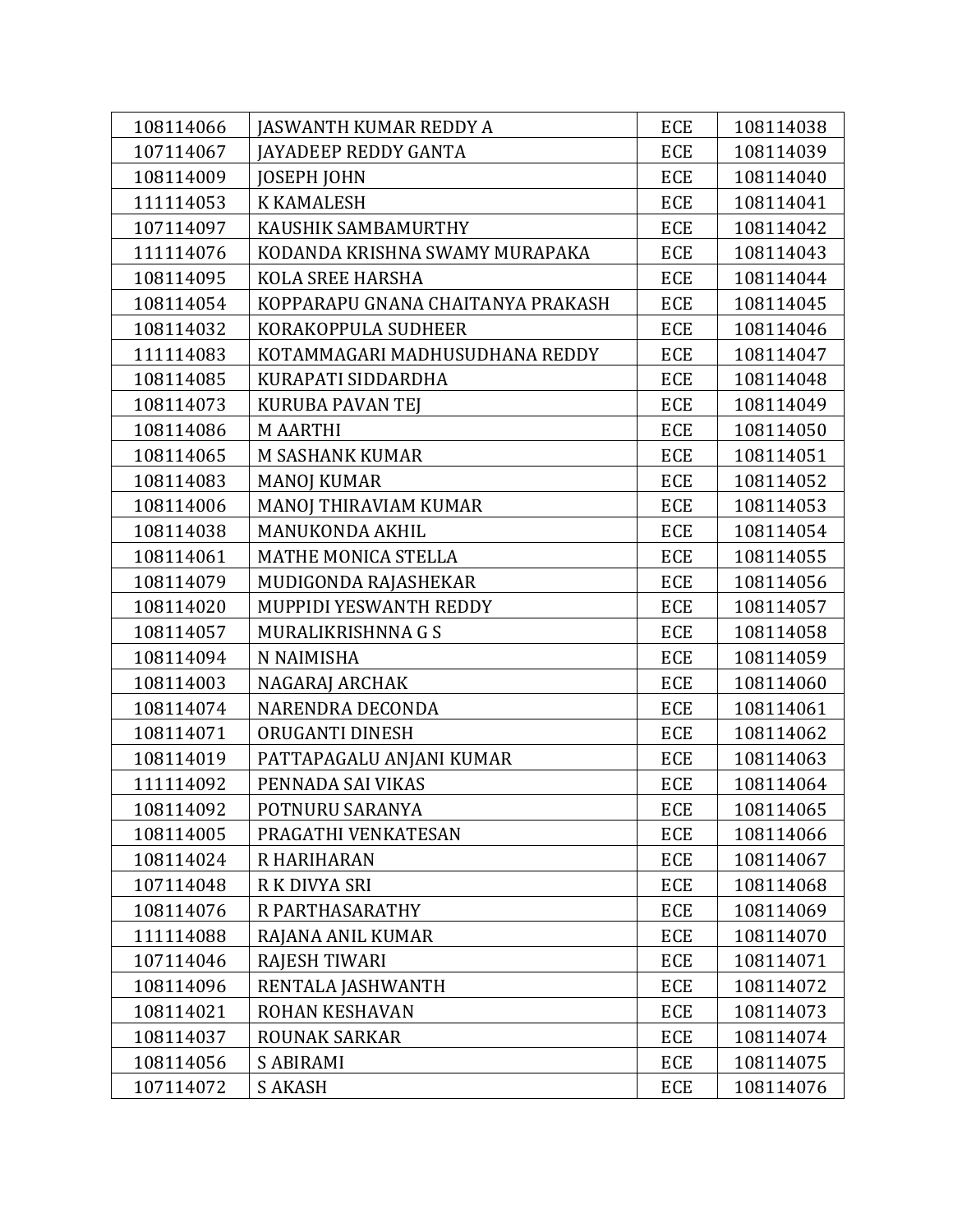| 108114066 | <b>JASWANTH KUMAR REDDY A</b>     | ECE        | 108114038 |
|-----------|-----------------------------------|------------|-----------|
| 107114067 | <b>JAYADEEP REDDY GANTA</b>       | <b>ECE</b> | 108114039 |
| 108114009 | <b>JOSEPH JOHN</b>                | <b>ECE</b> | 108114040 |
| 111114053 | <b>K KAMALESH</b>                 | <b>ECE</b> | 108114041 |
| 107114097 | KAUSHIK SAMBAMURTHY               | <b>ECE</b> | 108114042 |
| 111114076 | KODANDA KRISHNA SWAMY MURAPAKA    | <b>ECE</b> | 108114043 |
| 108114095 | <b>KOLA SREE HARSHA</b>           | <b>ECE</b> | 108114044 |
| 108114054 | KOPPARAPU GNANA CHAITANYA PRAKASH | <b>ECE</b> | 108114045 |
| 108114032 | KORAKOPPULA SUDHEER               | <b>ECE</b> | 108114046 |
| 111114083 | KOTAMMAGARI MADHUSUDHANA REDDY    | <b>ECE</b> | 108114047 |
| 108114085 | KURAPATI SIDDARDHA                | <b>ECE</b> | 108114048 |
| 108114073 | KURUBA PAVAN TEJ                  | ECE        | 108114049 |
| 108114086 | <b>M AARTHI</b>                   | <b>ECE</b> | 108114050 |
| 108114065 | M SASHANK KUMAR                   | <b>ECE</b> | 108114051 |
| 108114083 | <b>MANOJ KUMAR</b>                | ECE        | 108114052 |
| 108114006 | MANOJ THIRAVIAM KUMAR             | <b>ECE</b> | 108114053 |
| 108114038 | <b>MANUKONDA AKHIL</b>            | <b>ECE</b> | 108114054 |
| 108114061 | MATHE MONICA STELLA               | <b>ECE</b> | 108114055 |
| 108114079 | MUDIGONDA RAJASHEKAR              | <b>ECE</b> | 108114056 |
| 108114020 | MUPPIDI YESWANTH REDDY            | <b>ECE</b> | 108114057 |
| 108114057 | MURALIKRISHNNA G S                | <b>ECE</b> | 108114058 |
| 108114094 | N NAIMISHA                        | <b>ECE</b> | 108114059 |
| 108114003 | NAGARAJ ARCHAK                    | <b>ECE</b> | 108114060 |
| 108114074 | NARENDRA DECONDA                  | <b>ECE</b> | 108114061 |
| 108114071 | ORUGANTI DINESH                   | ECE        | 108114062 |
| 108114019 | PATTAPAGALU ANJANI KUMAR          | <b>ECE</b> | 108114063 |
| 111114092 | PENNADA SAI VIKAS                 | <b>ECE</b> | 108114064 |
| 108114092 | POTNURU SARANYA                   | ECE        | 108114065 |
| 108114005 | PRAGATHI VENKATESAN               | <b>ECE</b> | 108114066 |
| 108114024 | R HARIHARAN                       | ECE        | 108114067 |
| 107114048 | R K DIVYA SRI                     | ECE        | 108114068 |
| 108114076 | R PARTHASARATHY                   | ECE        | 108114069 |
| 111114088 | RAJANA ANIL KUMAR                 | ECE        | 108114070 |
| 107114046 | <b>RAJESH TIWARI</b>              | ECE        | 108114071 |
| 108114096 | RENTALA JASHWANTH                 | <b>ECE</b> | 108114072 |
| 108114021 | ROHAN KESHAVAN                    | ECE        | 108114073 |
| 108114037 | <b>ROUNAK SARKAR</b>              | ECE        | 108114074 |
| 108114056 | <b>S ABIRAMI</b>                  | ECE        | 108114075 |
| 107114072 | <b>S AKASH</b>                    | ECE        | 108114076 |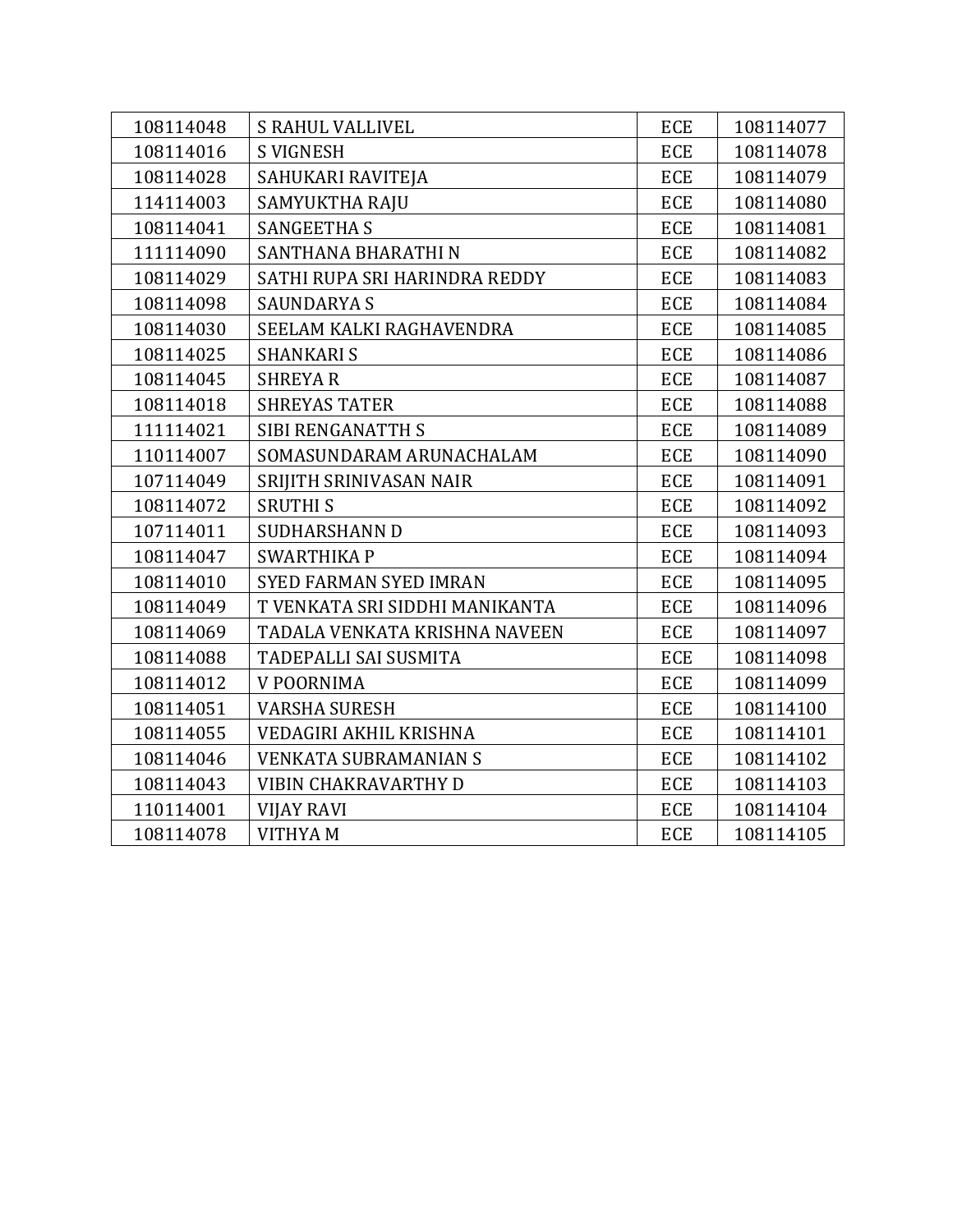| 108114048 | <b>S RAHUL VALLIVEL</b>        | ECE        | 108114077 |
|-----------|--------------------------------|------------|-----------|
| 108114016 | <b>S VIGNESH</b>               | <b>ECE</b> | 108114078 |
| 108114028 | SAHUKARI RAVITEJA              | <b>ECE</b> | 108114079 |
| 114114003 | SAMYUKTHA RAJU                 | ECE        | 108114080 |
| 108114041 | <b>SANGEETHA S</b>             | ECE        | 108114081 |
| 111114090 | SANTHANA BHARATHI N            | <b>ECE</b> | 108114082 |
| 108114029 | SATHI RUPA SRI HARINDRA REDDY  | <b>ECE</b> | 108114083 |
| 108114098 | <b>SAUNDARYA S</b>             | <b>ECE</b> | 108114084 |
| 108114030 | SEELAM KALKI RAGHAVENDRA       | <b>ECE</b> | 108114085 |
| 108114025 | <b>SHANKARI S</b>              | <b>ECE</b> | 108114086 |
| 108114045 | <b>SHREYAR</b>                 | <b>ECE</b> | 108114087 |
| 108114018 | <b>SHREYAS TATER</b>           | <b>ECE</b> | 108114088 |
| 111114021 | <b>SIBI RENGANATTH S</b>       | <b>ECE</b> | 108114089 |
| 110114007 | SOMASUNDARAM ARUNACHALAM       | <b>ECE</b> | 108114090 |
| 107114049 | SRIJITH SRINIVASAN NAIR        | <b>ECE</b> | 108114091 |
| 108114072 | <b>SRUTHIS</b>                 | <b>ECE</b> | 108114092 |
| 107114011 | <b>SUDHARSHANN D</b>           | ECE        | 108114093 |
| 108114047 | <b>SWARTHIKAP</b>              | ECE        | 108114094 |
| 108114010 | <b>SYED FARMAN SYED IMRAN</b>  | ECE        | 108114095 |
| 108114049 | T VENKATA SRI SIDDHI MANIKANTA | ECE        | 108114096 |
| 108114069 | TADALA VENKATA KRISHNA NAVEEN  | <b>ECE</b> | 108114097 |
| 108114088 | TADEPALLI SAI SUSMITA          | <b>ECE</b> | 108114098 |
| 108114012 | V POORNIMA                     | <b>ECE</b> | 108114099 |
| 108114051 | <b>VARSHA SURESH</b>           | <b>ECE</b> | 108114100 |
| 108114055 | VEDAGIRI AKHIL KRISHNA         | ECE        | 108114101 |
| 108114046 | <b>VENKATA SUBRAMANIAN S</b>   | <b>ECE</b> | 108114102 |
| 108114043 | VIBIN CHAKRAVARTHY D           | <b>ECE</b> | 108114103 |
| 110114001 | <b>VIJAY RAVI</b>              | <b>ECE</b> | 108114104 |
| 108114078 | <b>VITHYAM</b>                 | <b>ECE</b> | 108114105 |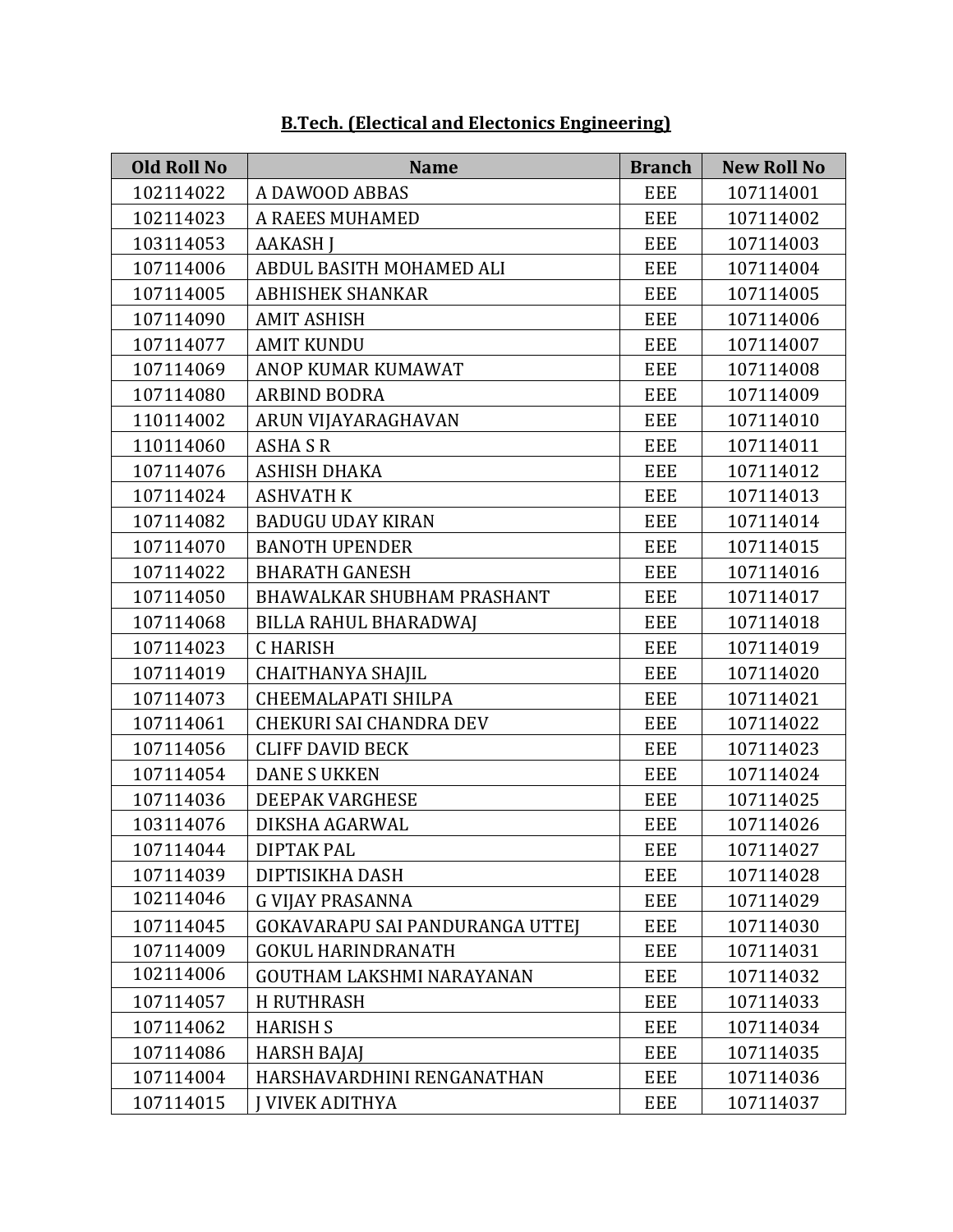| <b>Old Roll No</b> | <b>Name</b>                      | <b>Branch</b> | <b>New Roll No</b> |
|--------------------|----------------------------------|---------------|--------------------|
| 102114022          | A DAWOOD ABBAS                   | <b>EEE</b>    | 107114001          |
| 102114023          | A RAEES MUHAMED                  | <b>EEE</b>    | 107114002          |
| 103114053          | <b>AAKASH I</b>                  | <b>EEE</b>    | 107114003          |
| 107114006          | ABDUL BASITH MOHAMED ALI         | <b>EEE</b>    | 107114004          |
| 107114005          | <b>ABHISHEK SHANKAR</b>          | <b>EEE</b>    | 107114005          |
| 107114090          | <b>AMIT ASHISH</b>               | <b>EEE</b>    | 107114006          |
| 107114077          | <b>AMIT KUNDU</b>                | <b>EEE</b>    | 107114007          |
| 107114069          | ANOP KUMAR KUMAWAT               | <b>EEE</b>    | 107114008          |
| 107114080          | <b>ARBIND BODRA</b>              | <b>EEE</b>    | 107114009          |
| 110114002          | ARUN VIJAYARAGHAVAN              | <b>EEE</b>    | 107114010          |
| 110114060          | <b>ASHA S R</b>                  | <b>EEE</b>    | 107114011          |
| 107114076          | ASHISH DHAKA                     | <b>EEE</b>    | 107114012          |
| 107114024          | <b>ASHVATH K</b>                 | <b>EEE</b>    | 107114013          |
| 107114082          | <b>BADUGU UDAY KIRAN</b>         | <b>EEE</b>    | 107114014          |
| 107114070          | <b>BANOTH UPENDER</b>            | <b>EEE</b>    | 107114015          |
| 107114022          | <b>BHARATH GANESH</b>            | <b>EEE</b>    | 107114016          |
| 107114050          | BHAWALKAR SHUBHAM PRASHANT       | <b>EEE</b>    | 107114017          |
| 107114068          | BILLA RAHUL BHARADWAJ            | <b>EEE</b>    | 107114018          |
| 107114023          | <b>CHARISH</b>                   | <b>EEE</b>    | 107114019          |
| 107114019          | <b>CHAITHANYA SHAJIL</b>         | <b>EEE</b>    | 107114020          |
| 107114073          | <b>CHEEMALAPATI SHILPA</b>       | <b>EEE</b>    | 107114021          |
| 107114061          | <b>CHEKURI SAI CHANDRA DEV</b>   | <b>EEE</b>    | 107114022          |
| 107114056          | <b>CLIFF DAVID BECK</b>          | <b>EEE</b>    | 107114023          |
| 107114054          | <b>DANE S UKKEN</b>              | EEE           | 107114024          |
| 107114036          | DEEPAK VARGHESE                  | <b>EEE</b>    | 107114025          |
| 103114076          | DIKSHA AGARWAL                   | <b>EEE</b>    | 107114026          |
| 107114044          | <b>DIPTAK PAL</b>                | <b>EEE</b>    | 107114027          |
| 107114039          | DIPTISIKHA DASH                  | <b>EEE</b>    | 107114028          |
| 102114046          | <b>G VIJAY PRASANNA</b>          | EEE           | 107114029          |
| 107114045          | GOKAVARAPU SAI PANDURANGA UTTEJ  | <b>EEE</b>    | 107114030          |
| 107114009          | <b>GOKUL HARINDRANATH</b>        | <b>EEE</b>    | 107114031          |
| 102114006          | <b>GOUTHAM LAKSHMI NARAYANAN</b> | <b>EEE</b>    | 107114032          |
| 107114057          | <b>H RUTHRASH</b>                | <b>EEE</b>    | 107114033          |
| 107114062          | <b>HARISH S</b>                  | <b>EEE</b>    | 107114034          |
| 107114086          | <b>HARSH BAJAJ</b>               | EEE           | 107114035          |
| 107114004          | HARSHAVARDHINI RENGANATHAN       | <b>EEE</b>    | 107114036          |
| 107114015          | J VIVEK ADITHYA                  | <b>EEE</b>    | 107114037          |

#### **B.Tech. (Electical and Electonics Engineering)**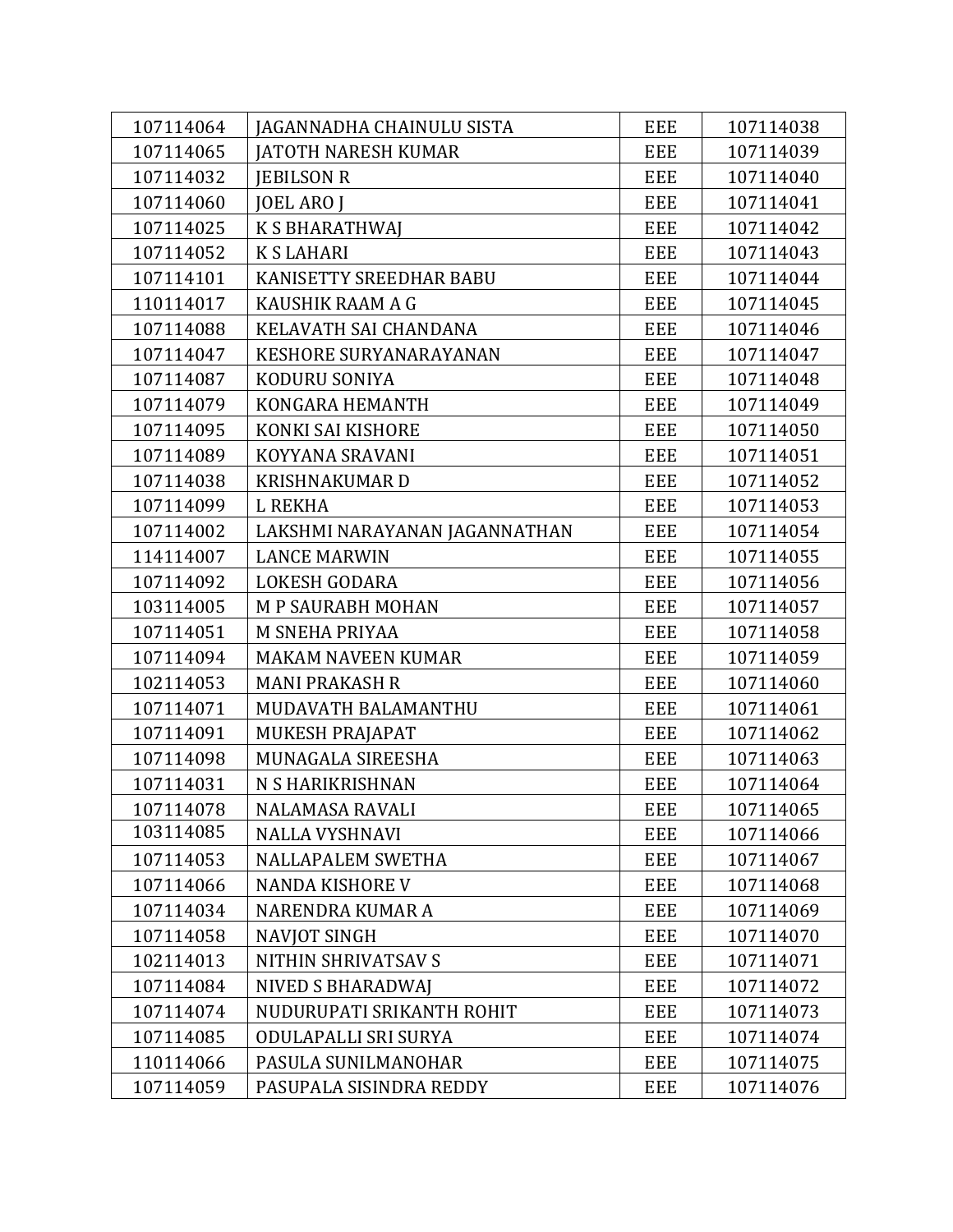| 107114064 | JAGANNADHA CHAINULU SISTA     | <b>EEE</b> | 107114038 |
|-----------|-------------------------------|------------|-----------|
| 107114065 | <b>JATOTH NARESH KUMAR</b>    | <b>EEE</b> | 107114039 |
| 107114032 | <b>JEBILSON R</b>             | <b>EEE</b> | 107114040 |
| 107114060 | <b>JOEL ARO J</b>             | <b>EEE</b> | 107114041 |
| 107114025 | <b>K S BHARATHWAJ</b>         | <b>EEE</b> | 107114042 |
| 107114052 | <b>KSLAHARI</b>               | EEE        | 107114043 |
| 107114101 | KANISETTY SREEDHAR BABU       | <b>EEE</b> | 107114044 |
| 110114017 | KAUSHIK RAAM A G              | <b>EEE</b> | 107114045 |
| 107114088 | KELAVATH SAI CHANDANA         | <b>EEE</b> | 107114046 |
| 107114047 | <b>KESHORE SURYANARAYANAN</b> | <b>EEE</b> | 107114047 |
| 107114087 | KODURU SONIYA                 | <b>EEE</b> | 107114048 |
| 107114079 | KONGARA HEMANTH               | <b>EEE</b> | 107114049 |
| 107114095 | KONKI SAI KISHORE             | EEE        | 107114050 |
| 107114089 | KOYYANA SRAVANI               | <b>EEE</b> | 107114051 |
| 107114038 | <b>KRISHNAKUMARD</b>          | <b>EEE</b> | 107114052 |
| 107114099 | <b>L REKHA</b>                | EEE        | 107114053 |
| 107114002 | LAKSHMI NARAYANAN JAGANNATHAN | <b>EEE</b> | 107114054 |
| 114114007 | <b>LANCE MARWIN</b>           | <b>EEE</b> | 107114055 |
| 107114092 | <b>LOKESH GODARA</b>          | EEE        | 107114056 |
| 103114005 | M P SAURABH MOHAN             | <b>EEE</b> | 107114057 |
| 107114051 | M SNEHA PRIYAA                | <b>EEE</b> | 107114058 |
| 107114094 | <b>MAKAM NAVEEN KUMAR</b>     | <b>EEE</b> | 107114059 |
| 102114053 | <b>MANI PRAKASH R</b>         | <b>EEE</b> | 107114060 |
| 107114071 | MUDAVATH BALAMANTHU           | <b>EEE</b> | 107114061 |
| 107114091 | MUKESH PRAJAPAT               | <b>EEE</b> | 107114062 |
| 107114098 | MUNAGALA SIREESHA             | <b>EEE</b> | 107114063 |
| 107114031 | N S HARIKRISHNAN              | EEE        | 107114064 |
| 107114078 | NALAMASA RAVALI               | <b>EEE</b> | 107114065 |
| 103114085 | <b>NALLA VYSHNAVI</b>         | <b>EEE</b> | 107114066 |
| 107114053 | NALLAPALEM SWETHA             | <b>EEE</b> | 107114067 |
| 107114066 | <b>NANDA KISHORE V</b>        | <b>EEE</b> | 107114068 |
| 107114034 | NARENDRA KUMAR A              | <b>EEE</b> | 107114069 |
| 107114058 | <b>NAVJOT SINGH</b>           | <b>EEE</b> | 107114070 |
| 102114013 | NITHIN SHRIVATSAV S           | <b>EEE</b> | 107114071 |
| 107114084 | <b>NIVED S BHARADWAI</b>      | <b>EEE</b> | 107114072 |
| 107114074 | NUDURUPATI SRIKANTH ROHIT     | EEE        | 107114073 |
| 107114085 | ODULAPALLI SRI SURYA          | <b>EEE</b> | 107114074 |
| 110114066 | PASULA SUNILMANOHAR           | <b>EEE</b> | 107114075 |
| 107114059 | PASUPALA SISINDRA REDDY       | <b>EEE</b> | 107114076 |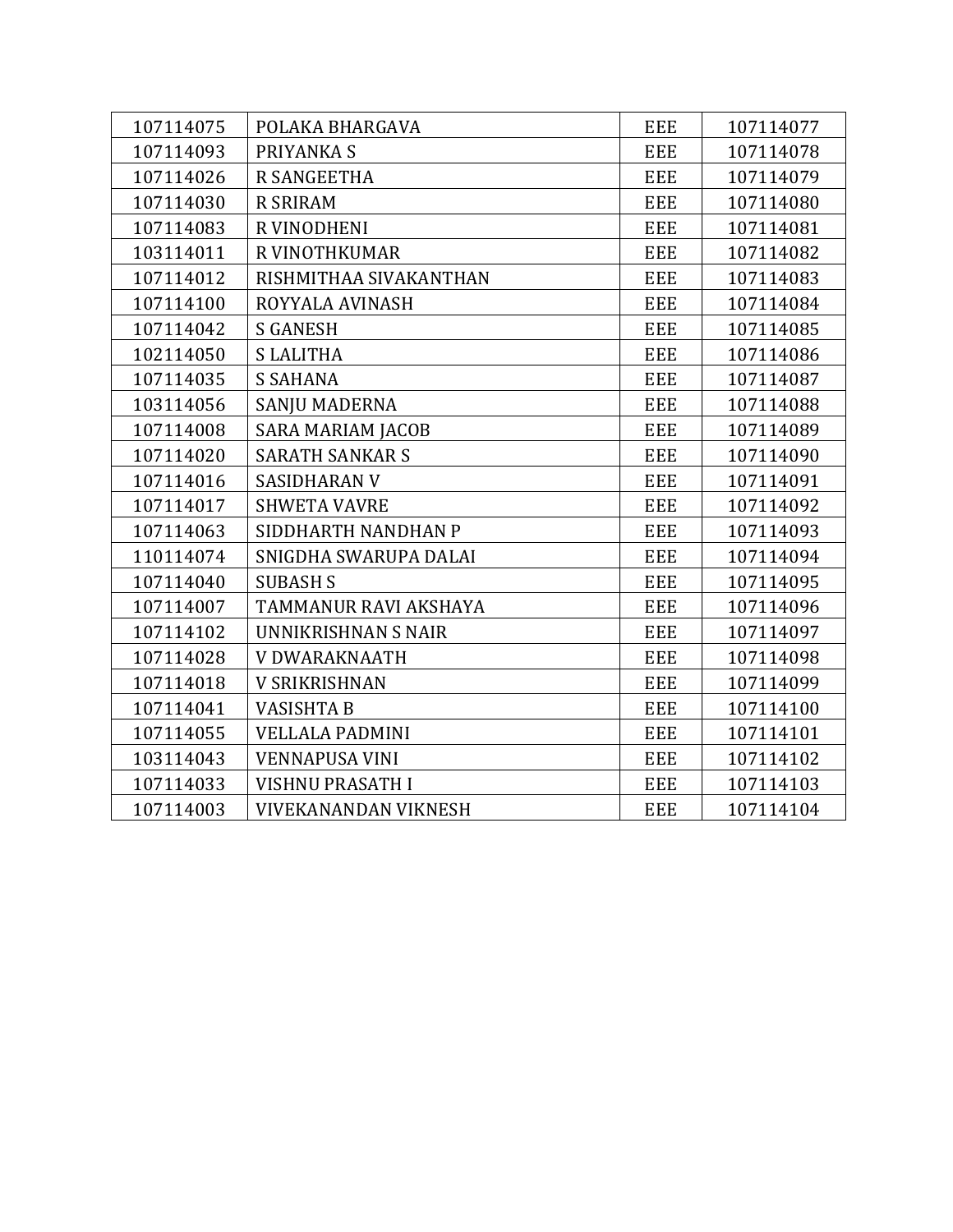| 107114075 | POLAKA BHARGAVA             | <b>EEE</b> | 107114077 |
|-----------|-----------------------------|------------|-----------|
| 107114093 | PRIYANKA S                  | <b>EEE</b> | 107114078 |
| 107114026 | <b>R SANGEETHA</b>          | <b>EEE</b> | 107114079 |
| 107114030 | <b>R SRIRAM</b>             | <b>EEE</b> | 107114080 |
| 107114083 | R VINODHENI                 | <b>EEE</b> | 107114081 |
| 103114011 | R VINOTHKUMAR               | <b>EEE</b> | 107114082 |
| 107114012 | RISHMITHAA SIVAKANTHAN      | <b>EEE</b> | 107114083 |
| 107114100 | ROYYALA AVINASH             | <b>EEE</b> | 107114084 |
| 107114042 | <b>S GANESH</b>             | EEE        | 107114085 |
| 102114050 | <b>SLALITHA</b>             | <b>EEE</b> | 107114086 |
| 107114035 | <b>S SAHANA</b>             | <b>EEE</b> | 107114087 |
| 103114056 | SANJU MADERNA               | EEE        | 107114088 |
| 107114008 | <b>SARA MARIAM JACOB</b>    | <b>EEE</b> | 107114089 |
| 107114020 | <b>SARATH SANKAR S</b>      | <b>EEE</b> | 107114090 |
| 107114016 | <b>SASIDHARAN V</b>         | EEE        | 107114091 |
| 107114017 | <b>SHWETA VAVRE</b>         | <b>EEE</b> | 107114092 |
| 107114063 | SIDDHARTH NANDHAN P         | <b>EEE</b> | 107114093 |
| 110114074 | SNIGDHA SWARUPA DALAI       | EEE        | 107114094 |
| 107114040 | <b>SUBASH S</b>             | <b>EEE</b> | 107114095 |
| 107114007 | TAMMANUR RAVI AKSHAYA       | <b>EEE</b> | 107114096 |
| 107114102 | UNNIKRISHNAN S NAIR         | EEE        | 107114097 |
| 107114028 | V DWARAKNAATH               | <b>EEE</b> | 107114098 |
| 107114018 | <b>V SRIKRISHNAN</b>        | <b>EEE</b> | 107114099 |
| 107114041 | <b>VASISHTA B</b>           | <b>EEE</b> | 107114100 |
| 107114055 | <b>VELLALA PADMINI</b>      | <b>EEE</b> | 107114101 |
| 103114043 | <b>VENNAPUSA VINI</b>       | <b>EEE</b> | 107114102 |
| 107114033 | VISHNU PRASATH I            | <b>EEE</b> | 107114103 |
| 107114003 | <b>VIVEKANANDAN VIKNESH</b> | <b>EEE</b> | 107114104 |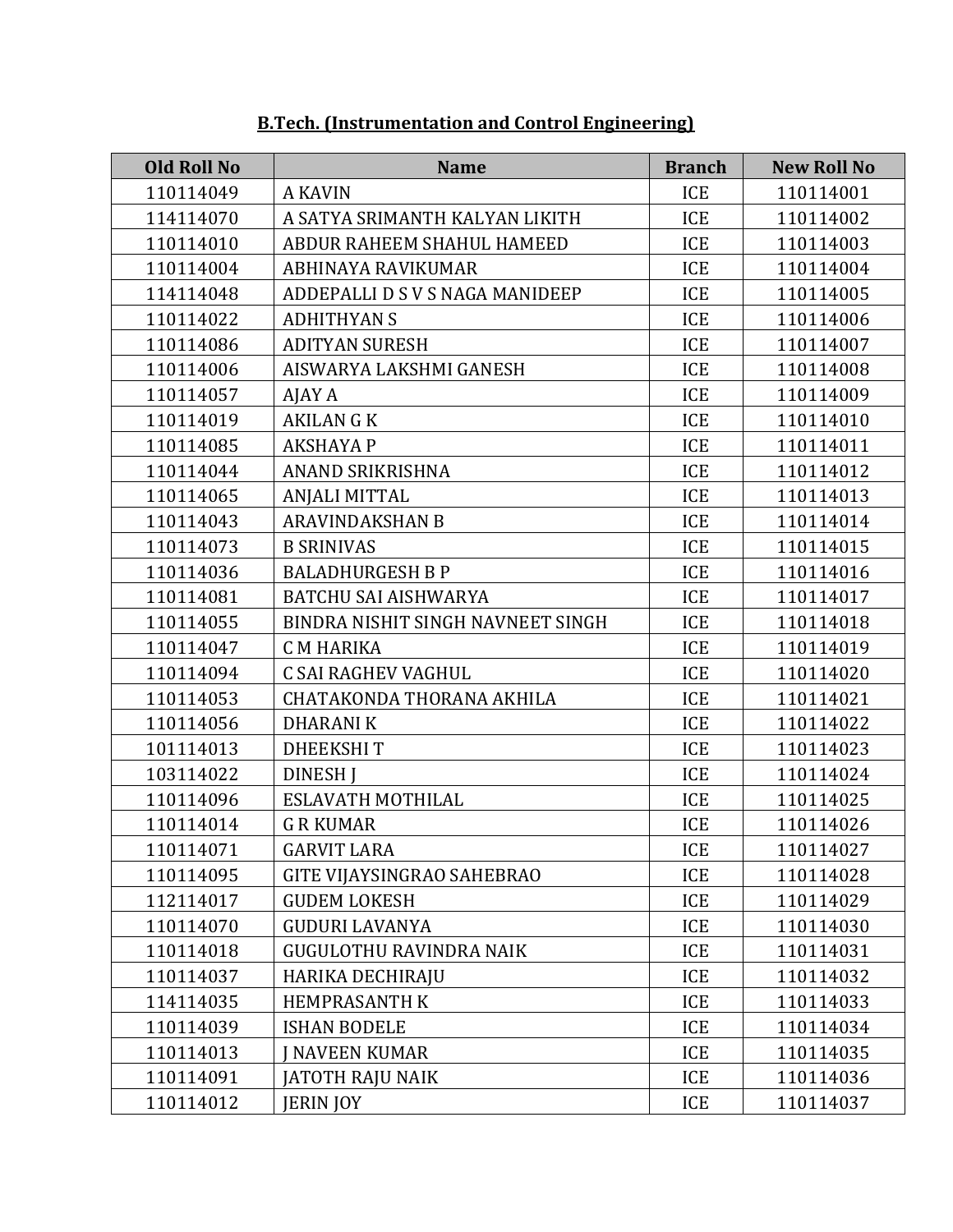| <b>Old Roll No</b> | <b>Name</b>                       | <b>Branch</b> | <b>New Roll No</b> |
|--------------------|-----------------------------------|---------------|--------------------|
| 110114049          | <b>A KAVIN</b>                    | <b>ICE</b>    | 110114001          |
| 114114070          | A SATYA SRIMANTH KALYAN LIKITH    | <b>ICE</b>    | 110114002          |
| 110114010          | ABDUR RAHEEM SHAHUL HAMEED        | ICE           | 110114003          |
| 110114004          | ABHINAYA RAVIKUMAR                | ICE           | 110114004          |
| 114114048          | ADDEPALLI D S V S NAGA MANIDEEP   | <b>ICE</b>    | 110114005          |
| 110114022          | <b>ADHITHYAN S</b>                | ICE           | 110114006          |
| 110114086          | <b>ADITYAN SURESH</b>             | ICE           | 110114007          |
| 110114006          | AISWARYA LAKSHMI GANESH           | <b>ICE</b>    | 110114008          |
| 110114057          | AJAY A                            | ICE           | 110114009          |
| 110114019          | <b>AKILAN G K</b>                 | ICE           | 110114010          |
| 110114085          | <b>AKSHAYA P</b>                  | <b>ICE</b>    | 110114011          |
| 110114044          | ANAND SRIKRISHNA                  | <b>ICE</b>    | 110114012          |
| 110114065          | <b>ANJALI MITTAL</b>              | ICE           | 110114013          |
| 110114043          | <b>ARAVINDAKSHAN B</b>            | <b>ICE</b>    | 110114014          |
| 110114073          | <b>B SRINIVAS</b>                 | ICE           | 110114015          |
| 110114036          | <b>BALADHURGESH B P</b>           | <b>ICE</b>    | 110114016          |
| 110114081          | <b>BATCHU SAI AISHWARYA</b>       | ICE           | 110114017          |
| 110114055          | BINDRA NISHIT SINGH NAVNEET SINGH | <b>ICE</b>    | 110114018          |
| 110114047          | <b>CM HARIKA</b>                  | ICE           | 110114019          |
| 110114094          | C SAI RAGHEV VAGHUL               | ICE           | 110114020          |
| 110114053          | CHATAKONDA THORANA AKHILA         | ICE           | 110114021          |
| 110114056          | <b>DHARANIK</b>                   | <b>ICE</b>    | 110114022          |
| 101114013          | <b>DHEEKSHIT</b>                  | <b>ICE</b>    | 110114023          |
| 103114022          | <b>DINESH I</b>                   | ICE           | 110114024          |
| 110114096          | ESLAVATH MOTHILAL                 | <b>ICE</b>    | 110114025          |
| 110114014          | <b>G R KUMAR</b>                  | ICE           | 110114026          |
| 110114071          | <b>GARVIT LARA</b>                | <b>ICE</b>    | 110114027          |
| 110114095          | <b>GITE VIJAYSINGRAO SAHEBRAO</b> | ICE           | 110114028          |
| 112114017          | <b>GUDEM LOKESH</b>               | ICE           | 110114029          |
| 110114070          | <b>GUDURI LAVANYA</b>             | ICE           | 110114030          |
| 110114018          | <b>GUGULOTHU RAVINDRA NAIK</b>    | ICE           | 110114031          |
| 110114037          | HARIKA DECHIRAJU                  | <b>ICE</b>    | 110114032          |
| 114114035          | <b>HEMPRASANTH K</b>              | ICE           | 110114033          |
| 110114039          | <b>ISHAN BODELE</b>               | ICE           | 110114034          |
| 110114013          | <b>J NAVEEN KUMAR</b>             | ICE           | 110114035          |
| 110114091          | JATOTH RAJU NAIK                  | ICE           | 110114036          |
| 110114012          | <b>JERIN JOY</b>                  | ICE           | 110114037          |

#### **B.Tech. (Instrumentation and Control Engineering)**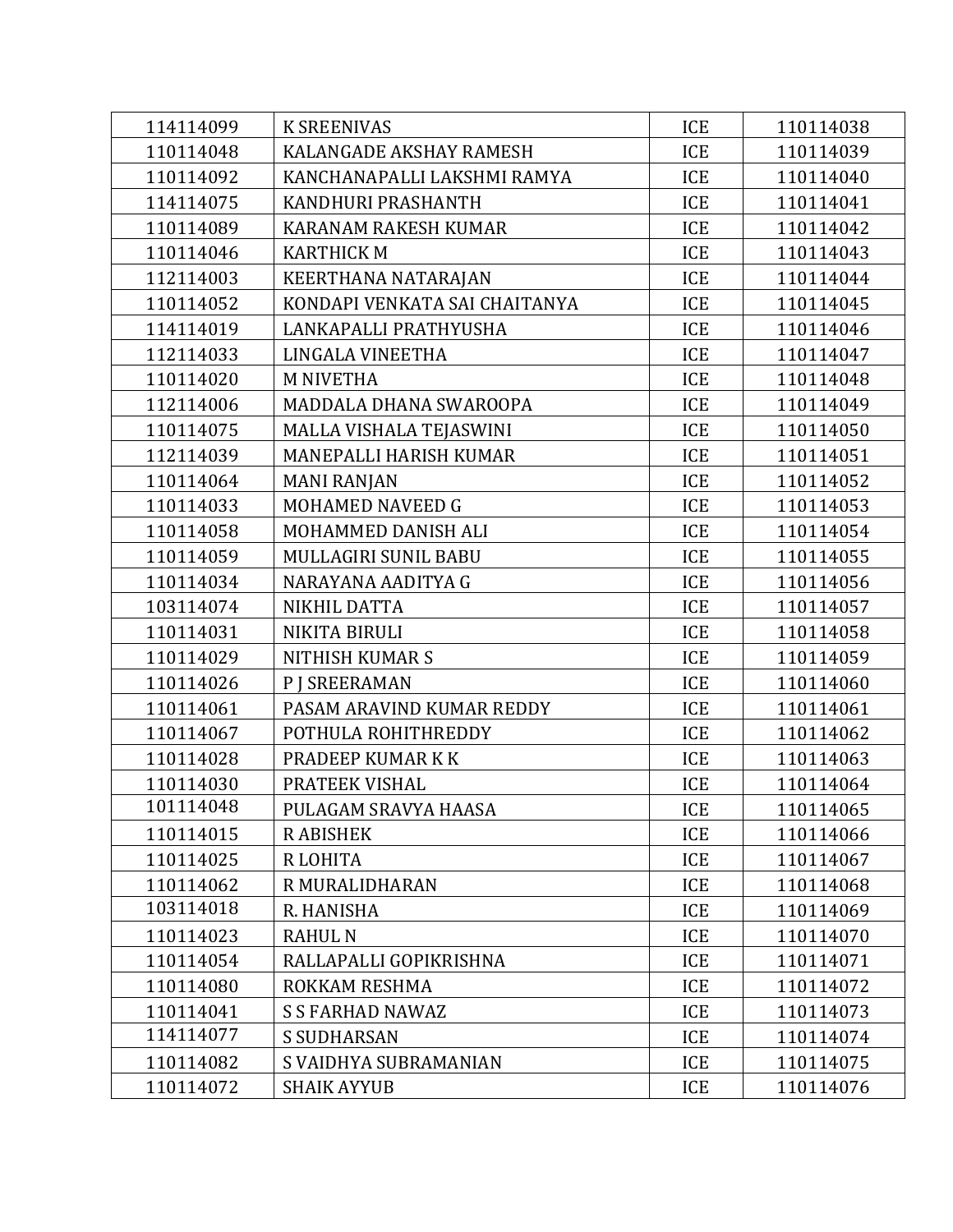| 114114099 | <b>K SREENIVAS</b>            | ICE        | 110114038 |
|-----------|-------------------------------|------------|-----------|
| 110114048 | KALANGADE AKSHAY RAMESH       | ICE        | 110114039 |
| 110114092 | KANCHANAPALLI LAKSHMI RAMYA   | ICE        | 110114040 |
| 114114075 | KANDHURI PRASHANTH            | ICE        | 110114041 |
| 110114089 | KARANAM RAKESH KUMAR          | ICE        | 110114042 |
| 110114046 | <b>KARTHICK M</b>             | ICE        | 110114043 |
| 112114003 | KEERTHANA NATARAJAN           | ICE        | 110114044 |
| 110114052 | KONDAPI VENKATA SAI CHAITANYA | ICE        | 110114045 |
| 114114019 | LANKAPALLI PRATHYUSHA         | ICE        | 110114046 |
| 112114033 | LINGALA VINEETHA              | ICE        | 110114047 |
| 110114020 | <b>M NIVETHA</b>              | ICE        | 110114048 |
| 112114006 | MADDALA DHANA SWAROOPA        | ICE        | 110114049 |
| 110114075 | MALLA VISHALA TEJASWINI       | ICE        | 110114050 |
| 112114039 | MANEPALLI HARISH KUMAR        | <b>ICE</b> | 110114051 |
| 110114064 | <b>MANI RANJAN</b>            | ICE        | 110114052 |
| 110114033 | MOHAMED NAVEED G              | ICE        | 110114053 |
| 110114058 | MOHAMMED DANISH ALI           | <b>ICE</b> | 110114054 |
| 110114059 | MULLAGIRI SUNIL BABU          | ICE        | 110114055 |
| 110114034 | NARAYANA AADITYA G            | ICE        | 110114056 |
| 103114074 | NIKHIL DATTA                  | ICE        | 110114057 |
| 110114031 | NIKITA BIRULI                 | ICE        | 110114058 |
| 110114029 | NITHISH KUMAR S               | ICE        | 110114059 |
| 110114026 | <b>P J SREERAMAN</b>          | ICE        | 110114060 |
| 110114061 | PASAM ARAVIND KUMAR REDDY     | ICE        | 110114061 |
| 110114067 | POTHULA ROHITHREDDY           | ICE        | 110114062 |
| 110114028 | PRADEEP KUMAR K K             | ICE        | 110114063 |
| 110114030 | PRATEEK VISHAL                | ICE        | 110114064 |
| 101114048 | PULAGAM SRAVYA HAASA          | ICE        | 110114065 |
| 110114015 | R ABISHEK                     | ICE        | 110114066 |
| 110114025 | R LOHITA                      | ICE        | 110114067 |
| 110114062 | R MURALIDHARAN                | ICE        | 110114068 |
| 103114018 | R. HANISHA                    | ICE        | 110114069 |
| 110114023 | <b>RAHUL N</b>                | ICE        | 110114070 |
| 110114054 | RALLAPALLI GOPIKRISHNA        | ICE        | 110114071 |
| 110114080 | ROKKAM RESHMA                 | ICE        | 110114072 |
| 110114041 | <b>S S FARHAD NAWAZ</b>       | ICE        | 110114073 |
| 114114077 | <b>S SUDHARSAN</b>            | ICE        | 110114074 |
| 110114082 | S VAIDHYA SUBRAMANIAN         | ICE        | 110114075 |
| 110114072 | <b>SHAIK AYYUB</b>            | ICE        | 110114076 |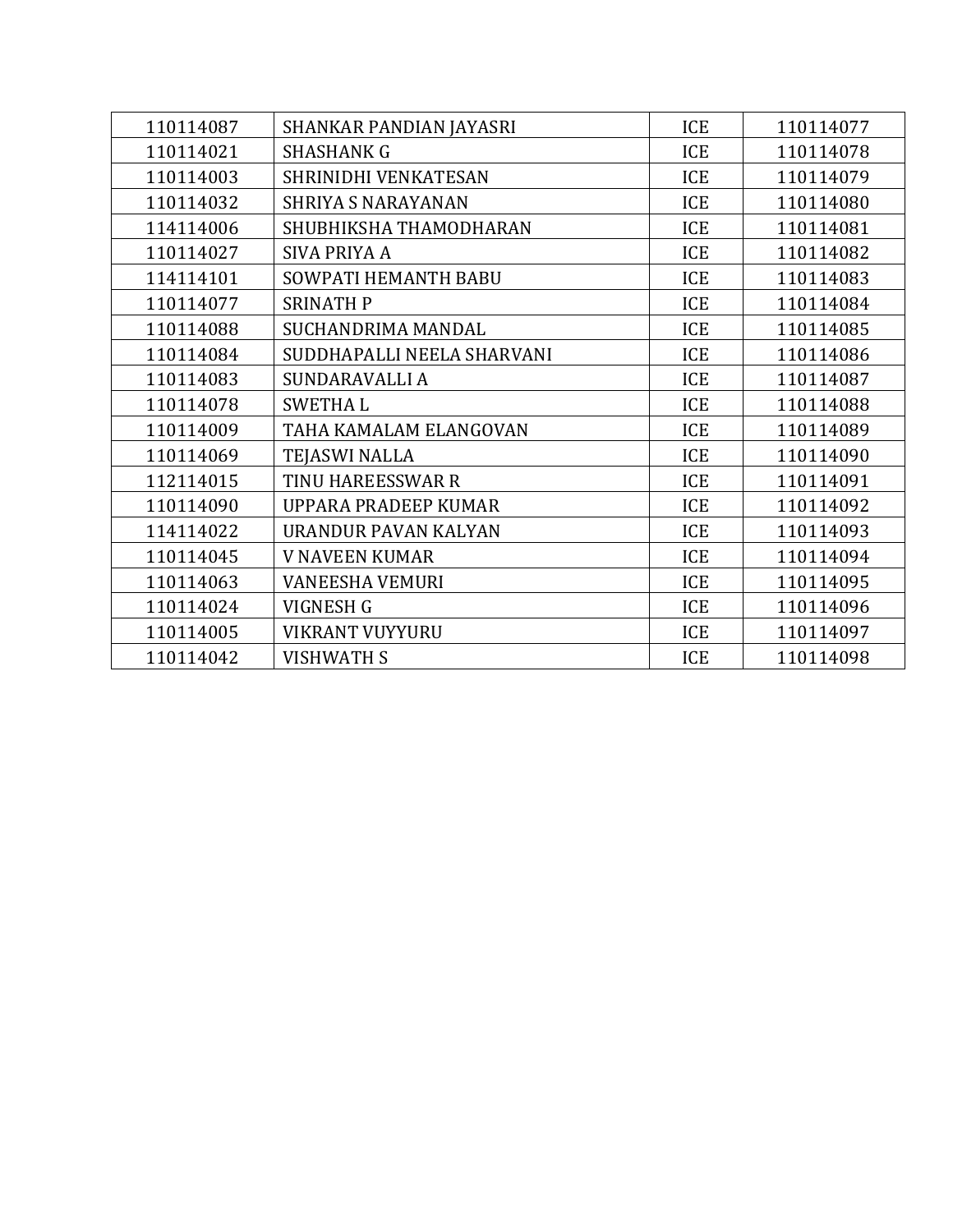| 110114087 | SHANKAR PANDIAN JAYASRI    | <b>ICE</b> | 110114077 |
|-----------|----------------------------|------------|-----------|
| 110114021 | <b>SHASHANK G</b>          | ICE        | 110114078 |
| 110114003 | SHRINIDHI VENKATESAN       | <b>ICE</b> | 110114079 |
| 110114032 | <b>SHRIYA S NARAYANAN</b>  | ICE        | 110114080 |
| 114114006 | SHUBHIKSHA THAMODHARAN     | ICE        | 110114081 |
| 110114027 | <b>SIVA PRIYA A</b>        | <b>ICE</b> | 110114082 |
| 114114101 | SOWPATI HEMANTH BABU       | ICE        | 110114083 |
| 110114077 | <b>SRINATH P</b>           | <b>ICE</b> | 110114084 |
| 110114088 | SUCHANDRIMA MANDAL         | ICE        | 110114085 |
| 110114084 | SUDDHAPALLI NEELA SHARVANI | <b>ICE</b> | 110114086 |
| 110114083 | SUNDARAVALLI A             | ICE        | 110114087 |
| 110114078 | <b>SWETHAL</b>             | <b>ICE</b> | 110114088 |
| 110114009 | TAHA KAMALAM ELANGOVAN     | ICE        | 110114089 |
| 110114069 | <b>TEJASWI NALLA</b>       | <b>ICE</b> | 110114090 |
| 112114015 | TINU HAREESSWAR R          | ICE        | 110114091 |
| 110114090 | UPPARA PRADEEP KUMAR       | ICE        | 110114092 |
| 114114022 | URANDUR PAVAN KALYAN       | ICE        | 110114093 |
| 110114045 | <b>V NAVEEN KUMAR</b>      | ICE        | 110114094 |
| 110114063 | <b>VANEESHA VEMURI</b>     | ICE        | 110114095 |
| 110114024 | VIGNESH G                  | ICE        | 110114096 |
| 110114005 | <b>VIKRANT VUYYURU</b>     | ICE        | 110114097 |
| 110114042 | <b>VISHWATH S</b>          | ICE        | 110114098 |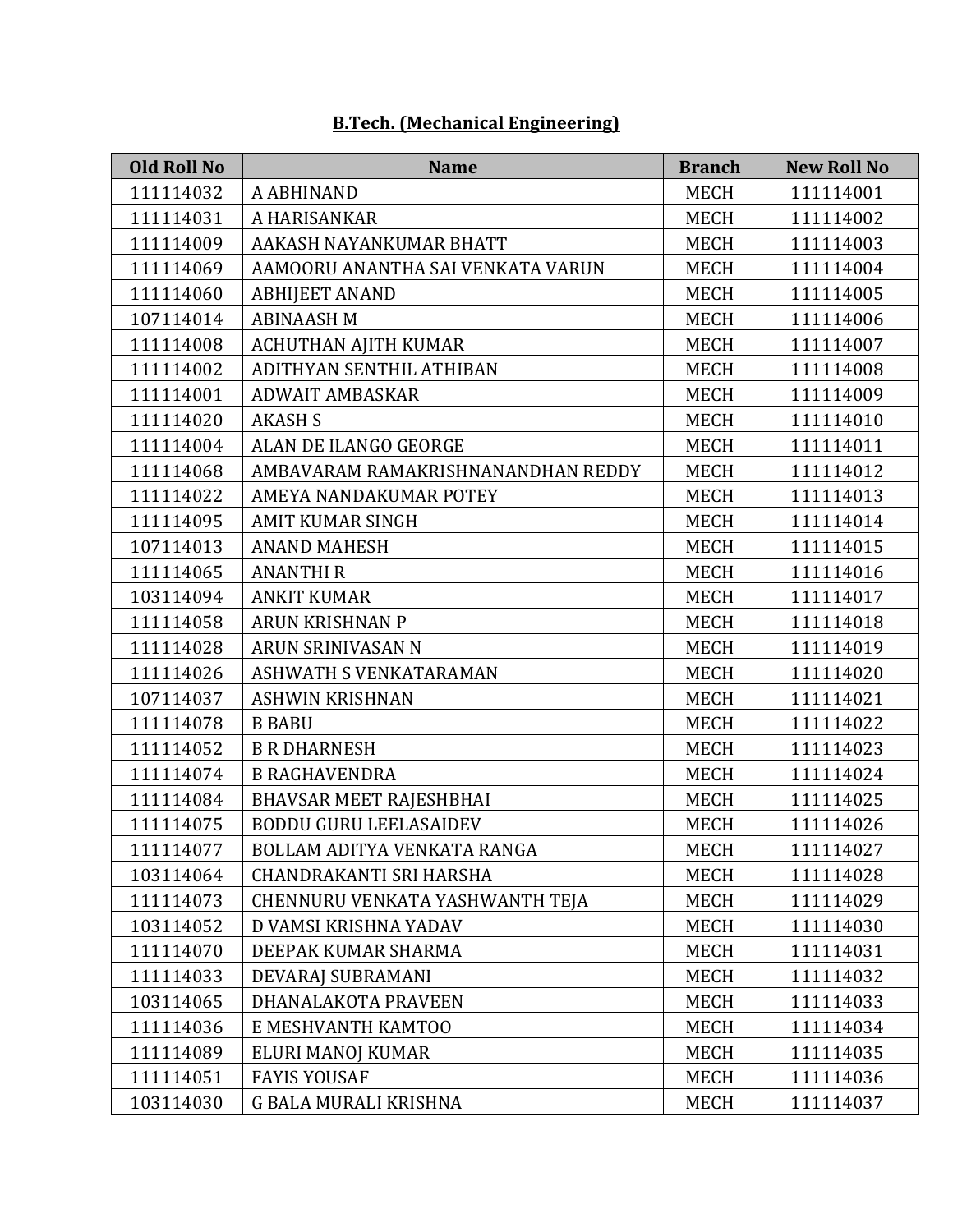| <b>Old Roll No</b> | <b>Name</b>                        | <b>Branch</b> | <b>New Roll No</b> |
|--------------------|------------------------------------|---------------|--------------------|
| 111114032          | A ABHINAND                         | <b>MECH</b>   | 111114001          |
| 111114031          | A HARISANKAR                       | <b>MECH</b>   | 111114002          |
| 111114009          | AAKASH NAYANKUMAR BHATT            | <b>MECH</b>   | 111114003          |
| 111114069          | AAMOORU ANANTHA SAI VENKATA VARUN  | <b>MECH</b>   | 111114004          |
| 111114060          | <b>ABHIJEET ANAND</b>              | <b>MECH</b>   | 111114005          |
| 107114014          | <b>ABINAASH M</b>                  | <b>MECH</b>   | 111114006          |
| 111114008          | ACHUTHAN AJITH KUMAR               | <b>MECH</b>   | 111114007          |
| 111114002          | ADITHYAN SENTHIL ATHIBAN           | <b>MECH</b>   | 111114008          |
| 111114001          | <b>ADWAIT AMBASKAR</b>             | <b>MECH</b>   | 111114009          |
| 111114020          | <b>AKASH S</b>                     | <b>MECH</b>   | 111114010          |
| 111114004          | ALAN DE ILANGO GEORGE              | <b>MECH</b>   | 111114011          |
| 111114068          | AMBAVARAM RAMAKRISHNANANDHAN REDDY | <b>MECH</b>   | 111114012          |
| 111114022          | AMEYA NANDAKUMAR POTEY             | <b>MECH</b>   | 111114013          |
| 111114095          | <b>AMIT KUMAR SINGH</b>            | <b>MECH</b>   | 111114014          |
| 107114013          | <b>ANAND MAHESH</b>                | <b>MECH</b>   | 111114015          |
| 111114065          | <b>ANANTHIR</b>                    | <b>MECH</b>   | 111114016          |
| 103114094          | <b>ANKIT KUMAR</b>                 | <b>MECH</b>   | 111114017          |
| 111114058          | <b>ARUN KRISHNAN P</b>             | <b>MECH</b>   | 111114018          |
| 111114028          | ARUN SRINIVASAN N                  | <b>MECH</b>   | 111114019          |
| 111114026          | ASHWATH S VENKATARAMAN             | <b>MECH</b>   | 111114020          |
| 107114037          | <b>ASHWIN KRISHNAN</b>             | <b>MECH</b>   | 111114021          |
| 111114078          | <b>B BABU</b>                      | <b>MECH</b>   | 111114022          |
| 111114052          | <b>B R DHARNESH</b>                | <b>MECH</b>   | 111114023          |
| 111114074          | <b>B RAGHAVENDRA</b>               | <b>MECH</b>   | 111114024          |
| 111114084          | <b>BHAVSAR MEET RAJESHBHAI</b>     | <b>MECH</b>   | 111114025          |
| 111114075          | <b>BODDU GURU LEELASAIDEV</b>      | <b>MECH</b>   | 111114026          |
| 111114077          | BOLLAM ADITYA VENKATA RANGA        | <b>MECH</b>   | 111114027          |
| 103114064          | CHANDRAKANTI SRI HARSHA            | <b>MECH</b>   | 111114028          |
| 111114073          | CHENNURU VENKATA YASHWANTH TEJA    | MECH          | 111114029          |
| 103114052          | D VAMSI KRISHNA YADAV              | <b>MECH</b>   | 111114030          |
| 111114070          | DEEPAK KUMAR SHARMA                | <b>MECH</b>   | 111114031          |
| 111114033          | DEVARAJ SUBRAMANI                  | <b>MECH</b>   | 111114032          |
| 103114065          | DHANALAKOTA PRAVEEN                | MECH          | 111114033          |
| 111114036          | E MESHVANTH KAMTOO                 | MECH          | 111114034          |
| 111114089          | ELURI MANOJ KUMAR                  | <b>MECH</b>   | 111114035          |
| 111114051          | <b>FAYIS YOUSAF</b>                | MECH          | 111114036          |
| 103114030          | G BALA MURALI KRISHNA              | MECH          | 111114037          |

## **B.Tech. (Mechanical Engineering)**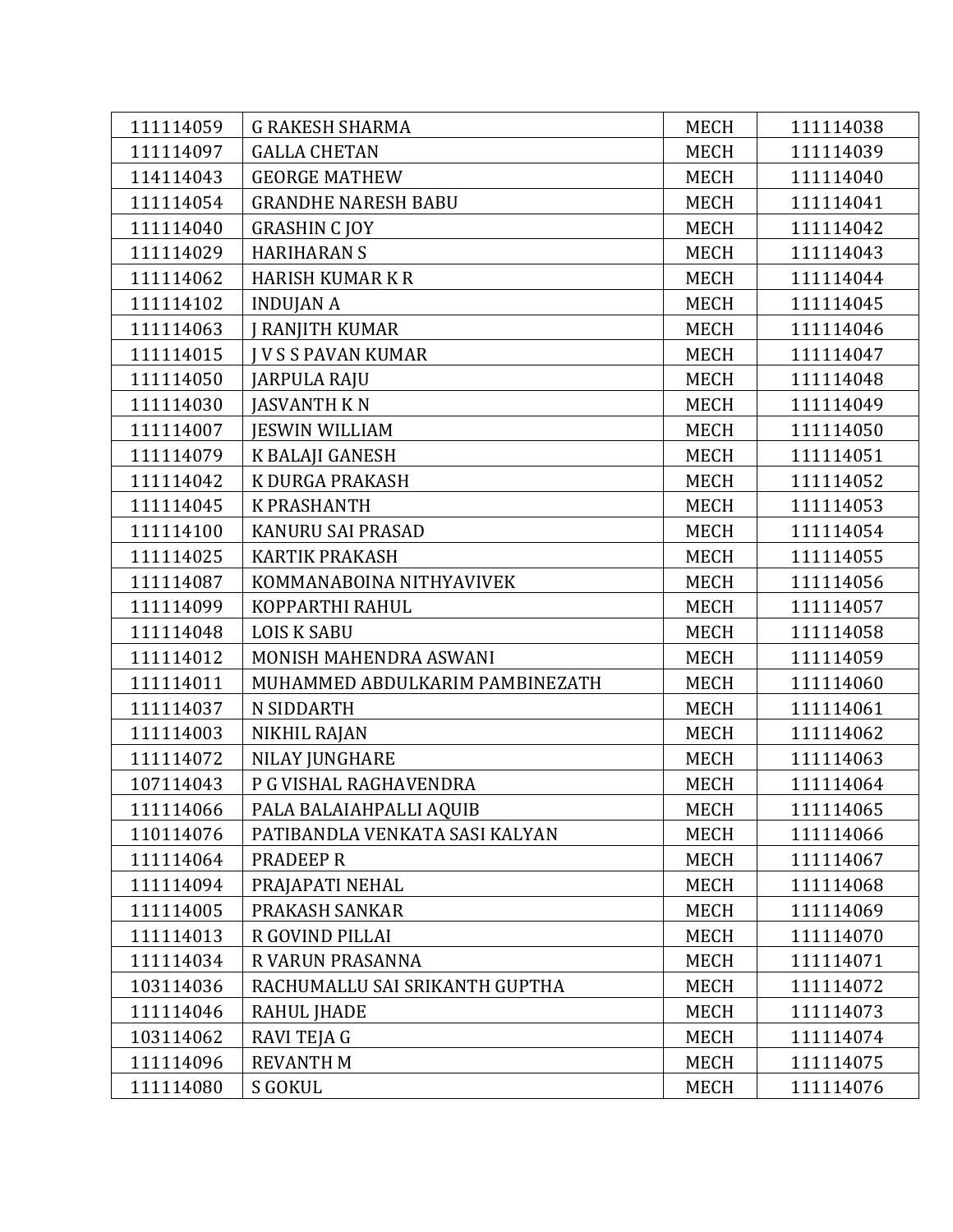| 111114059 | <b>G RAKESH SHARMA</b>          | <b>MECH</b> | 111114038 |
|-----------|---------------------------------|-------------|-----------|
| 111114097 | <b>GALLA CHETAN</b>             | <b>MECH</b> | 111114039 |
| 114114043 | <b>GEORGE MATHEW</b>            | <b>MECH</b> | 111114040 |
| 111114054 | <b>GRANDHE NARESH BABU</b>      | <b>MECH</b> | 111114041 |
| 111114040 | <b>GRASHIN CJOY</b>             | <b>MECH</b> | 111114042 |
| 111114029 | <b>HARIHARAN S</b>              | <b>MECH</b> | 111114043 |
| 111114062 | <b>HARISH KUMAR K R</b>         | <b>MECH</b> | 111114044 |
| 111114102 | <b>INDUJAN A</b>                | <b>MECH</b> | 111114045 |
| 111114063 | J RANJITH KUMAR                 | <b>MECH</b> | 111114046 |
| 111114015 | <b>IVSS PAVAN KUMAR</b>         | <b>MECH</b> | 111114047 |
| 111114050 | <b>JARPULA RAJU</b>             | <b>MECH</b> | 111114048 |
| 111114030 | <b>JASVANTH KN</b>              | <b>MECH</b> | 111114049 |
| 111114007 | <b>JESWIN WILLIAM</b>           | <b>MECH</b> | 111114050 |
| 111114079 | K BALAJI GANESH                 | <b>MECH</b> | 111114051 |
| 111114042 | K DURGA PRAKASH                 | <b>MECH</b> | 111114052 |
| 111114045 | <b>K PRASHANTH</b>              | <b>MECH</b> | 111114053 |
| 111114100 | KANURU SAI PRASAD               | <b>MECH</b> | 111114054 |
| 111114025 | KARTIK PRAKASH                  | <b>MECH</b> | 111114055 |
| 111114087 | KOMMANABOINA NITHYAVIVEK        | <b>MECH</b> | 111114056 |
| 111114099 | KOPPARTHI RAHUL                 | <b>MECH</b> | 111114057 |
| 111114048 | <b>LOIS K SABU</b>              | <b>MECH</b> | 111114058 |
| 111114012 | MONISH MAHENDRA ASWANI          | <b>MECH</b> | 111114059 |
| 111114011 | MUHAMMED ABDULKARIM PAMBINEZATH | <b>MECH</b> | 111114060 |
| 111114037 | N SIDDARTH                      | <b>MECH</b> | 111114061 |
| 111114003 | NIKHIL RAJAN                    | <b>MECH</b> | 111114062 |
| 111114072 | NILAY JUNGHARE                  | <b>MECH</b> | 111114063 |
| 107114043 | P G VISHAL RAGHAVENDRA          | <b>MECH</b> | 111114064 |
| 111114066 | PALA BALAIAHPALLI AQUIB         | <b>MECH</b> | 111114065 |
| 110114076 | PATIBANDLA VENKATA SASI KALYAN  | <b>MECH</b> | 111114066 |
| 111114064 | PRADEEP R                       | MECH        | 111114067 |
| 111114094 | PRAJAPATI NEHAL                 | <b>MECH</b> | 111114068 |
| 111114005 | PRAKASH SANKAR                  | <b>MECH</b> | 111114069 |
| 111114013 | R GOVIND PILLAI                 | <b>MECH</b> | 111114070 |
| 111114034 | R VARUN PRASANNA                | <b>MECH</b> | 111114071 |
| 103114036 | RACHUMALLU SAI SRIKANTH GUPTHA  | <b>MECH</b> | 111114072 |
| 111114046 | <b>RAHUL JHADE</b>              | <b>MECH</b> | 111114073 |
| 103114062 | RAVI TEJA G                     | <b>MECH</b> | 111114074 |
| 111114096 | <b>REVANTH M</b>                | <b>MECH</b> | 111114075 |
| 111114080 | S GOKUL                         | <b>MECH</b> | 111114076 |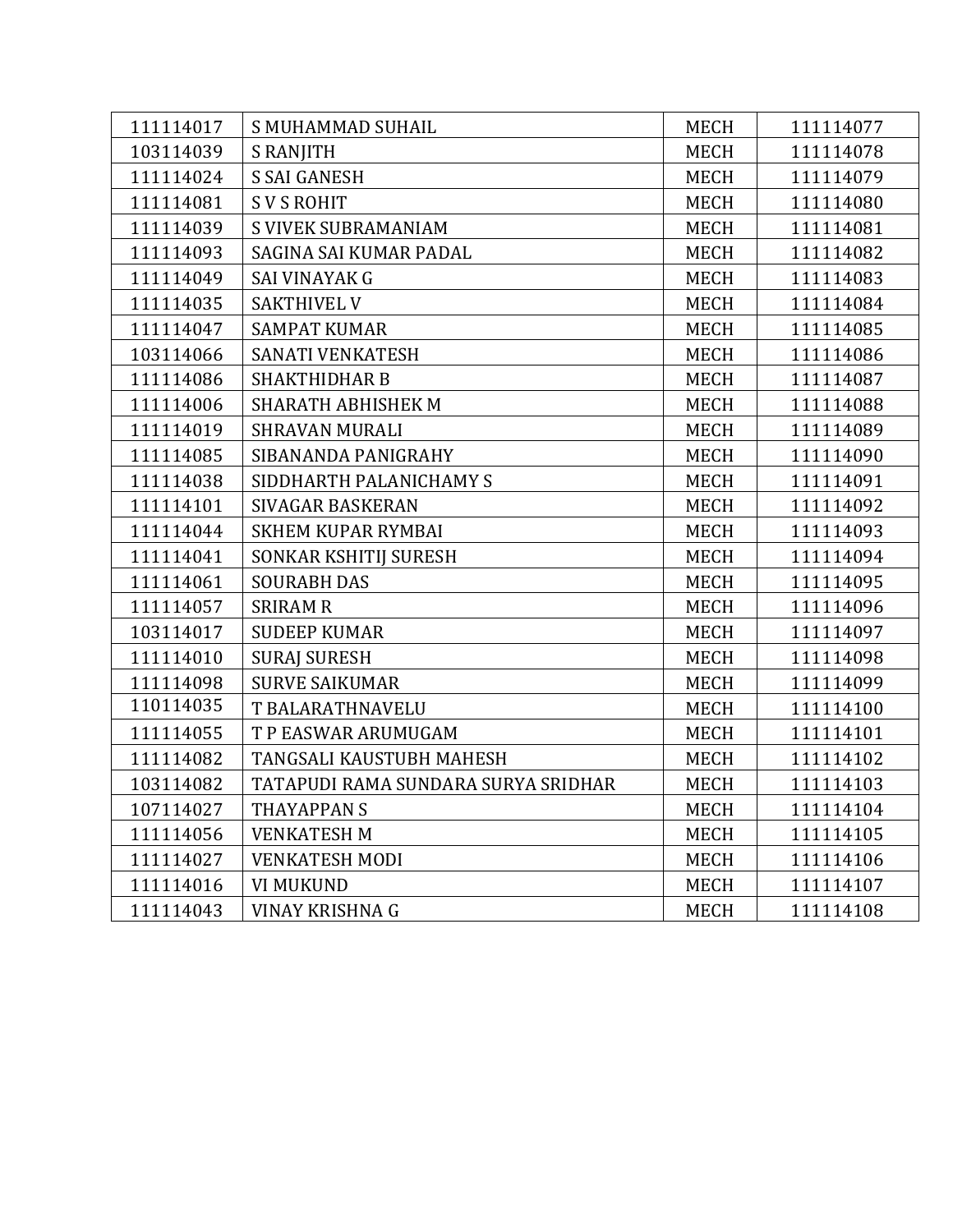| 111114017 | S MUHAMMAD SUHAIL                   | <b>MECH</b> | 111114077 |
|-----------|-------------------------------------|-------------|-----------|
| 103114039 | <b>S RANJITH</b>                    | <b>MECH</b> | 111114078 |
| 111114024 | <b>S SAI GANESH</b>                 | <b>MECH</b> | 111114079 |
| 111114081 | <b>SVS ROHIT</b>                    | <b>MECH</b> | 111114080 |
| 111114039 | <b>S VIVEK SUBRAMANIAM</b>          | MECH        | 111114081 |
| 111114093 | SAGINA SAI KUMAR PADAL              | <b>MECH</b> | 111114082 |
| 111114049 | <b>SAI VINAYAK G</b>                | <b>MECH</b> | 111114083 |
| 111114035 | SAKTHIVEL V                         | <b>MECH</b> | 111114084 |
| 111114047 | <b>SAMPAT KUMAR</b>                 | <b>MECH</b> | 111114085 |
| 103114066 | SANATI VENKATESH                    | MECH        | 111114086 |
| 111114086 | <b>SHAKTHIDHAR B</b>                | <b>MECH</b> | 111114087 |
| 111114006 | SHARATH ABHISHEK M                  | <b>MECH</b> | 111114088 |
| 111114019 | <b>SHRAVAN MURALI</b>               | <b>MECH</b> | 111114089 |
| 111114085 | SIBANANDA PANIGRAHY                 | <b>MECH</b> | 111114090 |
| 111114038 | SIDDHARTH PALANICHAMY S             | <b>MECH</b> | 111114091 |
| 111114101 | SIVAGAR BASKERAN                    | <b>MECH</b> | 111114092 |
| 111114044 | <b>SKHEM KUPAR RYMBAI</b>           | <b>MECH</b> | 111114093 |
| 111114041 | SONKAR KSHITIJ SURESH               | <b>MECH</b> | 111114094 |
| 111114061 | <b>SOURABH DAS</b>                  | <b>MECH</b> | 111114095 |
| 111114057 | <b>SRIRAM R</b>                     | <b>MECH</b> | 111114096 |
| 103114017 | <b>SUDEEP KUMAR</b>                 | <b>MECH</b> | 111114097 |
| 111114010 | <b>SURAJ SURESH</b>                 | <b>MECH</b> | 111114098 |
| 111114098 | <b>SURVE SAIKUMAR</b>               | <b>MECH</b> | 111114099 |
| 110114035 | T BALARATHNAVELU                    | <b>MECH</b> | 111114100 |
| 111114055 | T P EASWAR ARUMUGAM                 | <b>MECH</b> | 111114101 |
| 111114082 | TANGSALI KAUSTUBH MAHESH            | <b>MECH</b> | 111114102 |
| 103114082 | TATAPUDI RAMA SUNDARA SURYA SRIDHAR | MECH        | 111114103 |
| 107114027 | <b>THAYAPPAN S</b>                  | <b>MECH</b> | 111114104 |
| 111114056 | <b>VENKATESH M</b>                  | <b>MECH</b> | 111114105 |
| 111114027 | <b>VENKATESH MODI</b>               | MECH        | 111114106 |
| 111114016 | <b>VI MUKUND</b>                    | <b>MECH</b> | 111114107 |
| 111114043 | VINAY KRISHNA G                     | <b>MECH</b> | 111114108 |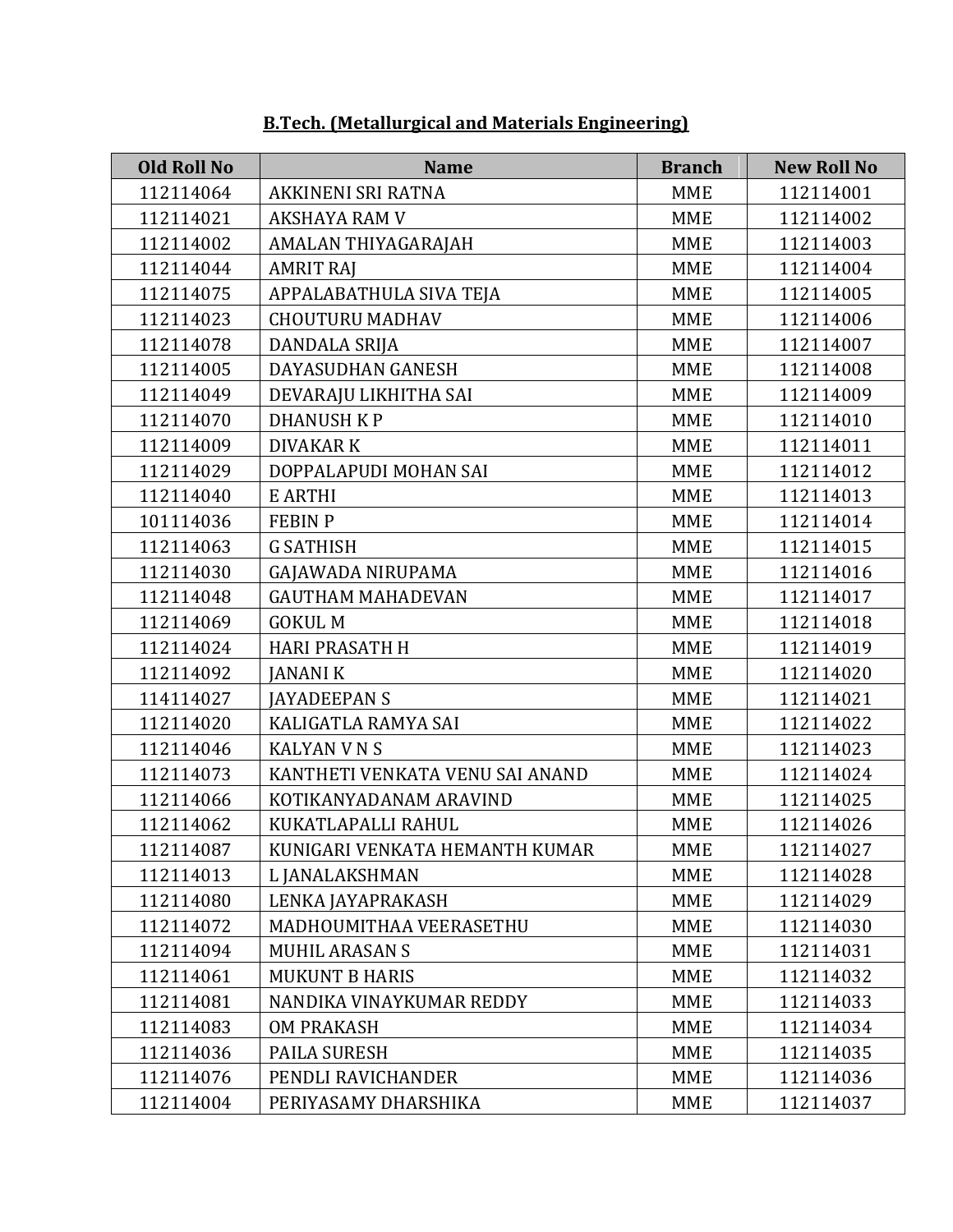| <b>Old Roll No</b> | <b>Name</b>                     | <b>Branch</b> | <b>New Roll No</b> |
|--------------------|---------------------------------|---------------|--------------------|
| 112114064          | AKKINENI SRI RATNA              | <b>MME</b>    | 112114001          |
| 112114021          | <b>AKSHAYA RAM V</b>            | <b>MME</b>    | 112114002          |
| 112114002          | AMALAN THIYAGARAJAH             | <b>MME</b>    | 112114003          |
| 112114044          | <b>AMRIT RAJ</b>                | <b>MME</b>    | 112114004          |
| 112114075          | APPALABATHULA SIVA TEJA         | <b>MME</b>    | 112114005          |
| 112114023          | <b>CHOUTURU MADHAV</b>          | <b>MME</b>    | 112114006          |
| 112114078          | DANDALA SRIJA                   | <b>MME</b>    | 112114007          |
| 112114005          | DAYASUDHAN GANESH               | <b>MME</b>    | 112114008          |
| 112114049          | DEVARAJU LIKHITHA SAI           | <b>MME</b>    | 112114009          |
| 112114070          | <b>DHANUSH KP</b>               | <b>MME</b>    | 112114010          |
| 112114009          | <b>DIVAKAR K</b>                | <b>MME</b>    | 112114011          |
| 112114029          | DOPPALAPUDI MOHAN SAI           | <b>MME</b>    | 112114012          |
| 112114040          | E ARTHI                         | <b>MME</b>    | 112114013          |
| 101114036          | <b>FEBIN P</b>                  | <b>MME</b>    | 112114014          |
| 112114063          | <b>G SATHISH</b>                | <b>MME</b>    | 112114015          |
| 112114030          | <b>GAJAWADA NIRUPAMA</b>        | <b>MME</b>    | 112114016          |
| 112114048          | <b>GAUTHAM MAHADEVAN</b>        | <b>MME</b>    | 112114017          |
| 112114069          | <b>GOKUL M</b>                  | <b>MME</b>    | 112114018          |
| 112114024          | <b>HARI PRASATH H</b>           | <b>MME</b>    | 112114019          |
| 112114092          | <b>JANANI K</b>                 | <b>MME</b>    | 112114020          |
| 114114027          | <b>JAYADEEPAN S</b>             | <b>MME</b>    | 112114021          |
| 112114020          | KALIGATLA RAMYA SAI             | <b>MME</b>    | 112114022          |
| 112114046          | <b>KALYAN V N S</b>             | <b>MME</b>    | 112114023          |
| 112114073          | KANTHETI VENKATA VENU SAI ANAND | <b>MME</b>    | 112114024          |
| 112114066          | KOTIKANYADANAM ARAVIND          | <b>MME</b>    | 112114025          |
| 112114062          | KUKATLAPALLI RAHUL              | <b>MME</b>    | 112114026          |
| 112114087          | KUNIGARI VENKATA HEMANTH KUMAR  | <b>MME</b>    | 112114027          |
| 112114013          | L JANALAKSHMAN                  | <b>MME</b>    | 112114028          |
| 112114080          | LENKA JAYAPRAKASH               | <b>MME</b>    | 112114029          |
| 112114072          | MADHOUMITHAA VEERASETHU         | <b>MME</b>    | 112114030          |
| 112114094          | <b>MUHIL ARASAN S</b>           | <b>MME</b>    | 112114031          |
| 112114061          | <b>MUKUNT B HARIS</b>           | <b>MME</b>    | 112114032          |
| 112114081          | NANDIKA VINAYKUMAR REDDY        | <b>MME</b>    | 112114033          |
| 112114083          | <b>OM PRAKASH</b>               | <b>MME</b>    | 112114034          |
| 112114036          | <b>PAILA SURESH</b>             | <b>MME</b>    | 112114035          |
| 112114076          | PENDLI RAVICHANDER              | <b>MME</b>    | 112114036          |
| 112114004          | PERIYASAMY DHARSHIKA            | MME           | 112114037          |

#### **B.Tech. (Metallurgical and Materials Engineering)**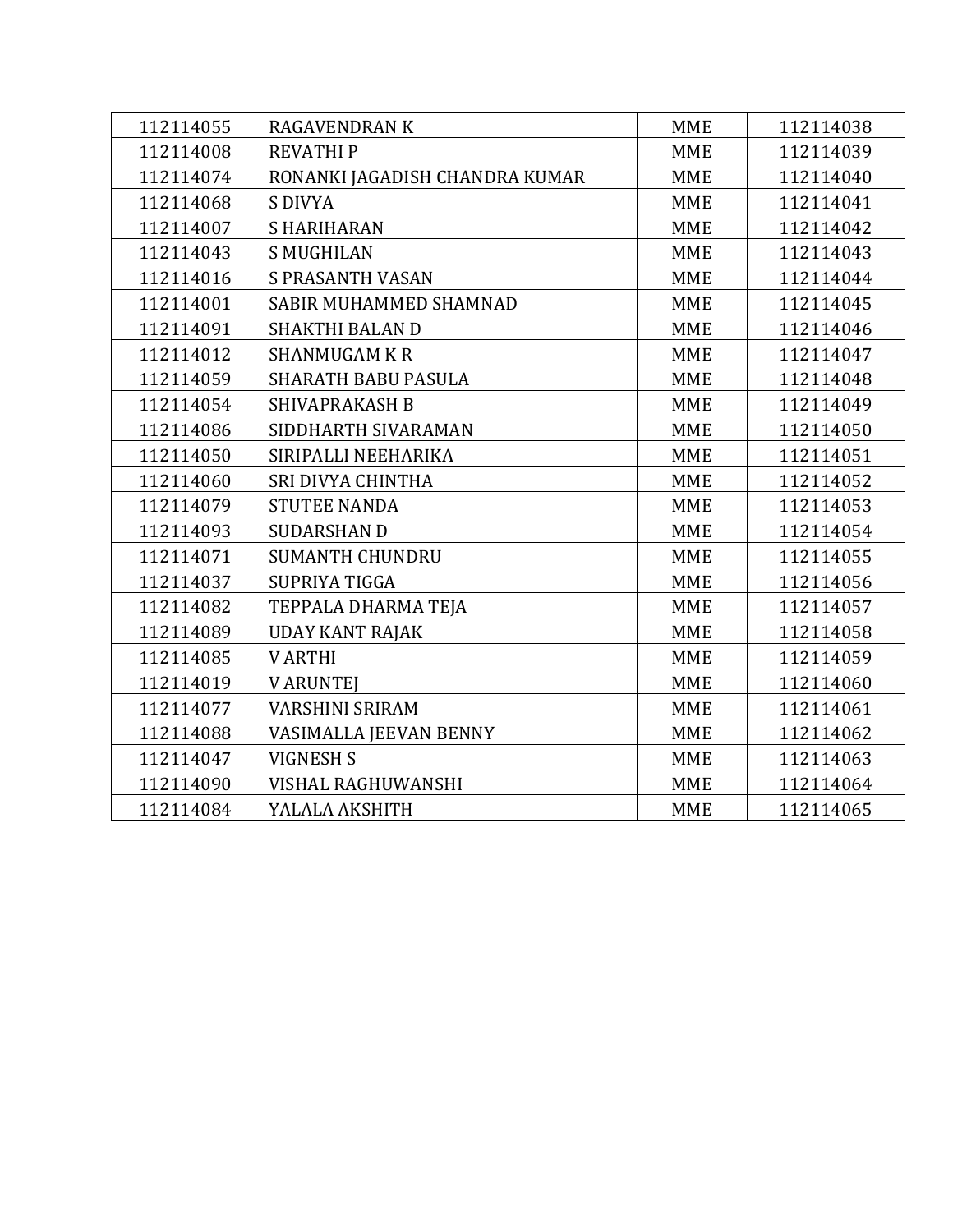| 112114055 | <b>RAGAVENDRAN K</b>           | <b>MME</b> | 112114038 |
|-----------|--------------------------------|------------|-----------|
| 112114008 | <b>REVATHIP</b>                | <b>MME</b> | 112114039 |
| 112114074 | RONANKI JAGADISH CHANDRA KUMAR | <b>MME</b> | 112114040 |
| 112114068 | <b>S DIVYA</b>                 | <b>MME</b> | 112114041 |
| 112114007 | <b>SHARIHARAN</b>              | <b>MME</b> | 112114042 |
| 112114043 | <b>S MUGHILAN</b>              | <b>MME</b> | 112114043 |
| 112114016 | <b>S PRASANTH VASAN</b>        | <b>MME</b> | 112114044 |
| 112114001 | SABIR MUHAMMED SHAMNAD         | <b>MME</b> | 112114045 |
| 112114091 | <b>SHAKTHI BALAN D</b>         | <b>MME</b> | 112114046 |
| 112114012 | <b>SHANMUGAM K R</b>           | <b>MME</b> | 112114047 |
| 112114059 | <b>SHARATH BABU PASULA</b>     | <b>MME</b> | 112114048 |
| 112114054 | <b>SHIVAPRAKASH B</b>          | <b>MME</b> | 112114049 |
| 112114086 | SIDDHARTH SIVARAMAN            | <b>MME</b> | 112114050 |
| 112114050 | SIRIPALLI NEEHARIKA            | <b>MME</b> | 112114051 |
| 112114060 | SRI DIVYA CHINTHA              | <b>MME</b> | 112114052 |
| 112114079 | <b>STUTEE NANDA</b>            | <b>MME</b> | 112114053 |
| 112114093 | <b>SUDARSHAN D</b>             | <b>MME</b> | 112114054 |
| 112114071 | <b>SUMANTH CHUNDRU</b>         | <b>MME</b> | 112114055 |
| 112114037 | SUPRIYA TIGGA                  | <b>MME</b> | 112114056 |
| 112114082 | TEPPALA DHARMA TEJA            | <b>MME</b> | 112114057 |
| 112114089 | <b>UDAY KANT RAJAK</b>         | <b>MME</b> | 112114058 |
| 112114085 | <b>VARTHI</b>                  | <b>MME</b> | 112114059 |
| 112114019 | <b>V ARUNTEJ</b>               | <b>MME</b> | 112114060 |
| 112114077 | <b>VARSHINI SRIRAM</b>         | <b>MME</b> | 112114061 |
| 112114088 | VASIMALLA JEEVAN BENNY         | <b>MME</b> | 112114062 |
| 112114047 | <b>VIGNESH S</b>               | <b>MME</b> | 112114063 |
| 112114090 | VISHAL RAGHUWANSHI             | <b>MME</b> | 112114064 |
| 112114084 | YALALA AKSHITH                 | <b>MME</b> | 112114065 |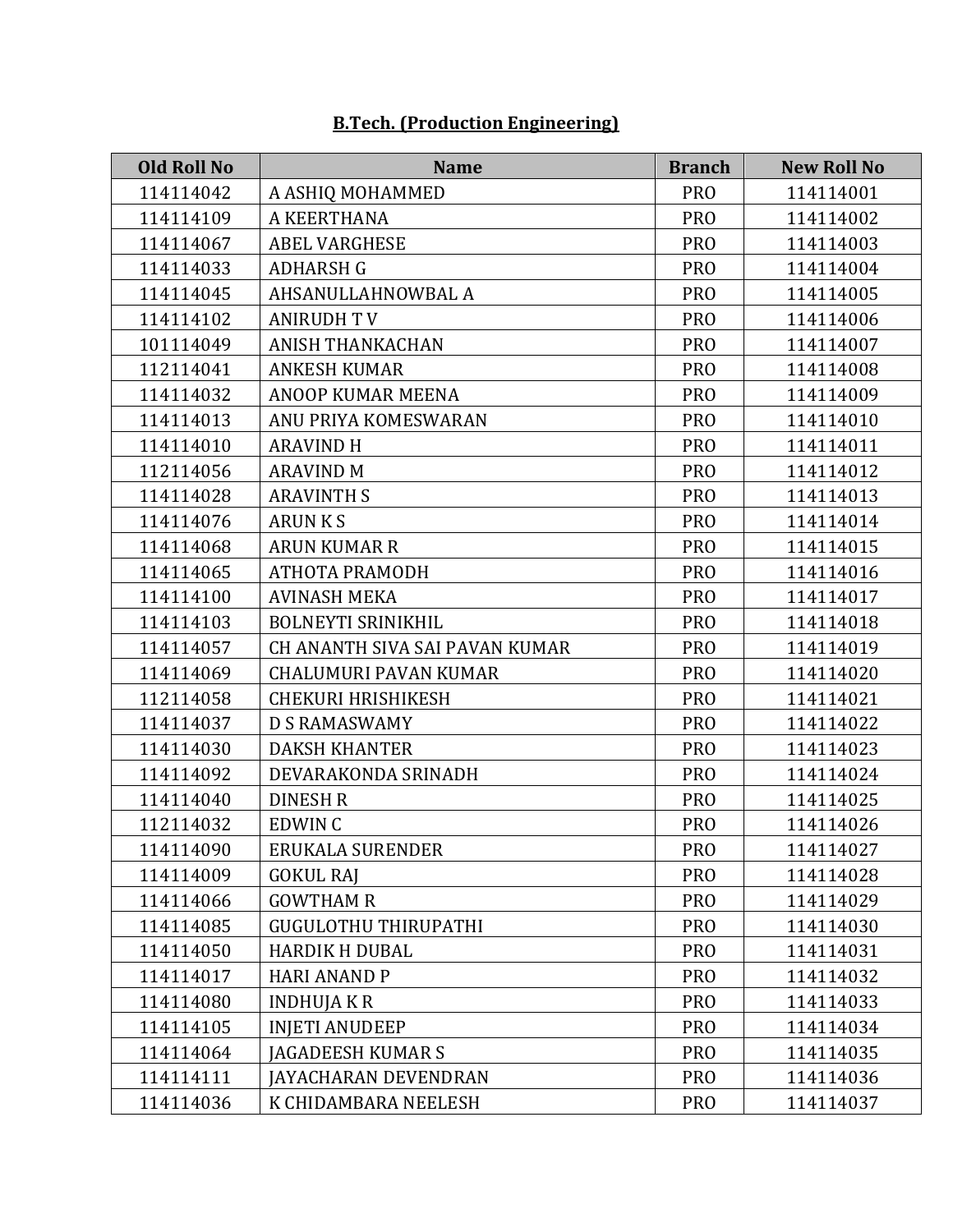| <b>Old Roll No</b> | <b>Name</b>                    | <b>Branch</b>   | <b>New Roll No</b> |
|--------------------|--------------------------------|-----------------|--------------------|
| 114114042          | A ASHIQ MOHAMMED               | <b>PRO</b>      | 114114001          |
| 114114109          | A KEERTHANA                    | <b>PRO</b>      | 114114002          |
| 114114067          | <b>ABEL VARGHESE</b>           | <b>PRO</b>      | 114114003          |
| 114114033          | <b>ADHARSH G</b>               | <b>PRO</b>      | 114114004          |
| 114114045          | AHSANULLAHNOWBAL A             | <b>PRO</b>      | 114114005          |
| 114114102          | <b>ANIRUDH TV</b>              | <b>PRO</b>      | 114114006          |
| 101114049          | <b>ANISH THANKACHAN</b>        | <b>PRO</b>      | 114114007          |
| 112114041          | <b>ANKESH KUMAR</b>            | <b>PRO</b>      | 114114008          |
| 114114032          | ANOOP KUMAR MEENA              | <b>PRO</b>      | 114114009          |
| 114114013          | ANU PRIYA KOMESWARAN           | <b>PRO</b>      | 114114010          |
| 114114010          | <b>ARAVIND H</b>               | <b>PRO</b>      | 114114011          |
| 112114056          | <b>ARAVIND M</b>               | <b>PRO</b>      | 114114012          |
| 114114028          | <b>ARAVINTH S</b>              | <b>PRO</b>      | 114114013          |
| 114114076          | <b>ARUNKS</b>                  | <b>PRO</b>      | 114114014          |
| 114114068          | <b>ARUN KUMAR R</b>            | <b>PRO</b>      | 114114015          |
| 114114065          | ATHOTA PRAMODH                 | <b>PRO</b>      | 114114016          |
| 114114100          | <b>AVINASH MEKA</b>            | <b>PRO</b>      | 114114017          |
| 114114103          | <b>BOLNEYTI SRINIKHIL</b>      | <b>PRO</b>      | 114114018          |
| 114114057          | CH ANANTH SIVA SAI PAVAN KUMAR | <b>PRO</b>      | 114114019          |
| 114114069          | <b>CHALUMURI PAVAN KUMAR</b>   | <b>PRO</b>      | 114114020          |
| 112114058          | <b>CHEKURI HRISHIKESH</b>      | <b>PRO</b>      | 114114021          |
| 114114037          | <b>D S RAMASWAMY</b>           | <b>PRO</b>      | 114114022          |
| 114114030          | <b>DAKSH KHANTER</b>           | <b>PRO</b>      | 114114023          |
| 114114092          | DEVARAKONDA SRINADH            | <b>PRO</b>      | 114114024          |
| 114114040          | <b>DINESH R</b>                | <b>PRO</b>      | 114114025          |
| 112114032          | EDWIN C                        | <b>PRO</b>      | 114114026          |
| 114114090          | ERUKALA SURENDER               | PR <sub>O</sub> | 114114027          |
| 114114009          | <b>GOKUL RAJ</b>               | <b>PRO</b>      | 114114028          |
| 114114066          | <b>GOWTHAM R</b>               | <b>PRO</b>      | 114114029          |
| 114114085          | <b>GUGULOTHU THIRUPATHI</b>    | <b>PRO</b>      | 114114030          |
| 114114050          | <b>HARDIK H DUBAL</b>          | <b>PRO</b>      | 114114031          |
| 114114017          | <b>HARI ANAND P</b>            | <b>PRO</b>      | 114114032          |
| 114114080          | <b>INDHUJAKR</b>               | <b>PRO</b>      | 114114033          |
| 114114105          | <b>INJETI ANUDEEP</b>          | <b>PRO</b>      | 114114034          |
| 114114064          | <b>JAGADEESH KUMAR S</b>       | <b>PRO</b>      | 114114035          |
| 114114111          | JAYACHARAN DEVENDRAN           | <b>PRO</b>      | 114114036          |
| 114114036          | K CHIDAMBARA NEELESH           | <b>PRO</b>      | 114114037          |

# **B.Tech. (Production Engineering)**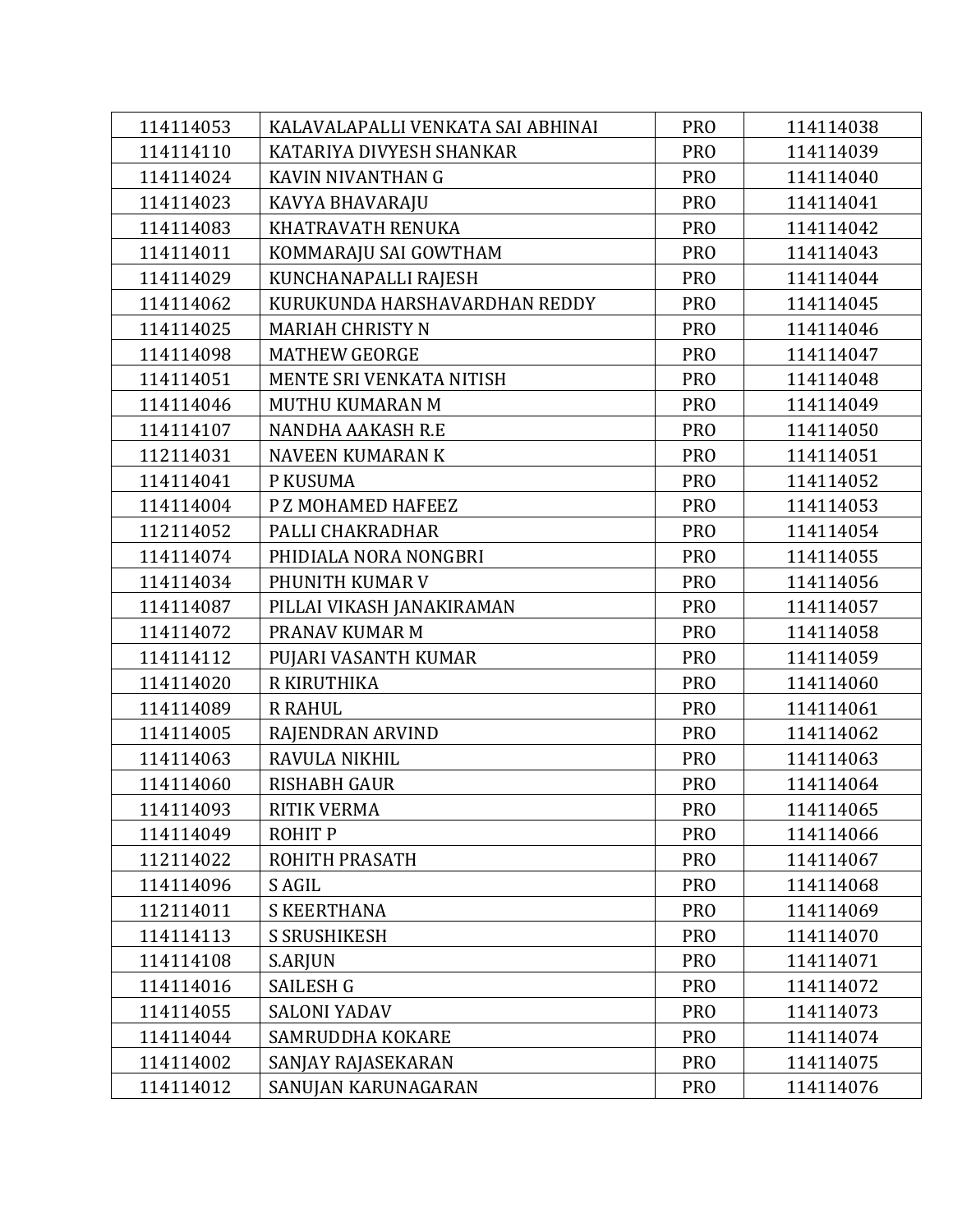| 114114053 | KALAVALAPALLI VENKATA SAI ABHINAI | <b>PRO</b>      | 114114038 |
|-----------|-----------------------------------|-----------------|-----------|
| 114114110 | KATARIYA DIVYESH SHANKAR          | <b>PRO</b>      | 114114039 |
| 114114024 | KAVIN NIVANTHAN G                 | <b>PRO</b>      | 114114040 |
| 114114023 | KAVYA BHAVARAJU                   | <b>PRO</b>      | 114114041 |
| 114114083 | KHATRAVATH RENUKA                 | <b>PRO</b>      | 114114042 |
| 114114011 | KOMMARAJU SAI GOWTHAM             | <b>PRO</b>      | 114114043 |
| 114114029 | KUNCHANAPALLI RAJESH              | <b>PRO</b>      | 114114044 |
| 114114062 | KURUKUNDA HARSHAVARDHAN REDDY     | <b>PRO</b>      | 114114045 |
| 114114025 | <b>MARIAH CHRISTY N</b>           | <b>PRO</b>      | 114114046 |
| 114114098 | <b>MATHEW GEORGE</b>              | PR <sub>O</sub> | 114114047 |
| 114114051 | MENTE SRI VENKATA NITISH          | <b>PRO</b>      | 114114048 |
| 114114046 | MUTHU KUMARAN M                   | <b>PRO</b>      | 114114049 |
| 114114107 | NANDHA AAKASH R.E                 | <b>PRO</b>      | 114114050 |
| 112114031 | <b>NAVEEN KUMARAN K</b>           | <b>PRO</b>      | 114114051 |
| 114114041 | P KUSUMA                          | <b>PRO</b>      | 114114052 |
| 114114004 | P Z MOHAMED HAFEEZ                | <b>PRO</b>      | 114114053 |
| 112114052 | PALLI CHAKRADHAR                  | <b>PRO</b>      | 114114054 |
| 114114074 | PHIDIALA NORA NONGBRI             | <b>PRO</b>      | 114114055 |
| 114114034 | PHUNITH KUMAR V                   | <b>PRO</b>      | 114114056 |
| 114114087 | PILLAI VIKASH JANAKIRAMAN         | <b>PRO</b>      | 114114057 |
| 114114072 | PRANAV KUMAR M                    | <b>PRO</b>      | 114114058 |
| 114114112 | PUJARI VASANTH KUMAR              | <b>PRO</b>      | 114114059 |
| 114114020 | R KIRUTHIKA                       | <b>PRO</b>      | 114114060 |
| 114114089 | <b>R RAHUL</b>                    | <b>PRO</b>      | 114114061 |
| 114114005 | RAJENDRAN ARVIND                  | <b>PRO</b>      | 114114062 |
| 114114063 | RAVULA NIKHIL                     | <b>PRO</b>      | 114114063 |
| 114114060 | <b>RISHABH GAUR</b>               | <b>PRO</b>      | 114114064 |
| 114114093 | <b>RITIK VERMA</b>                | <b>PRO</b>      | 114114065 |
| 114114049 | <b>ROHITP</b>                     | <b>PRO</b>      | 114114066 |
| 112114022 | ROHITH PRASATH                    | <b>PRO</b>      | 114114067 |
| 114114096 | S AGIL                            | <b>PRO</b>      | 114114068 |
| 112114011 | <b>S KEERTHANA</b>                | <b>PRO</b>      | 114114069 |
| 114114113 | <b>S SRUSHIKESH</b>               | <b>PRO</b>      | 114114070 |
| 114114108 | S.ARJUN                           | <b>PRO</b>      | 114114071 |
| 114114016 | <b>SAILESH G</b>                  | <b>PRO</b>      | 114114072 |
| 114114055 | <b>SALONI YADAV</b>               | <b>PRO</b>      | 114114073 |
| 114114044 | SAMRUDDHA KOKARE                  | <b>PRO</b>      | 114114074 |
| 114114002 | SANJAY RAJASEKARAN                | <b>PRO</b>      | 114114075 |
| 114114012 | SANUJAN KARUNAGARAN               | <b>PRO</b>      | 114114076 |